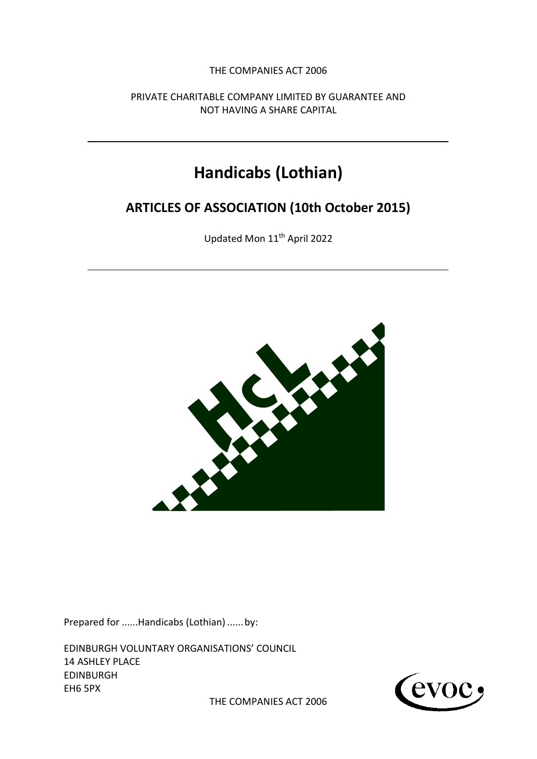THE COMPANIES ACT 2006

PRIVATE CHARITABLE COMPANY LIMITED BY GUARANTEE AND NOT HAVING A SHARE CAPITAL

# **Handicabs (Lothian)**

## **ARTICLES OF ASSOCIATION (10th October 2015)**

Updated Mon 11th April 2022



Prepared for ......Handicabs (Lothian) ......by:

EDINBURGH VOLUNTARY ORGANISATIONS' COUNCIL 14 ASHLEY PLACE EDINBURGH EH6 5PX



THE COMPANIES ACT 2006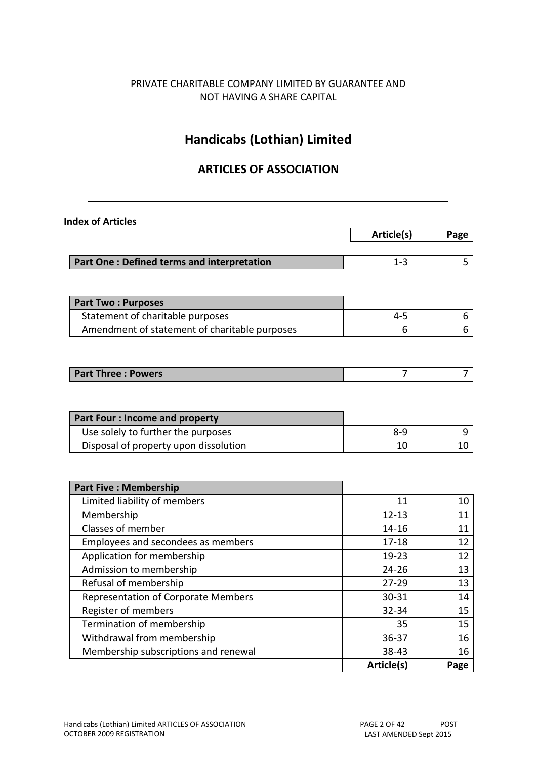## PRIVATE CHARITABLE COMPANY LIMITED BY GUARANTEE AND NOT HAVING A SHARE CAPITAL

## **Handicabs (Lothian) Limited**

## **ARTICLES OF ASSOCIATION**

| <b>Index of Articles</b>                      |            |      |
|-----------------------------------------------|------------|------|
|                                               | Article(s) | Page |
|                                               | $1 - 3$    | 5    |
| Part One: Defined terms and interpretation    |            |      |
| <b>Part Two: Purposes</b>                     |            |      |
| Statement of charitable purposes              | $4 - 5$    | 6    |
| Amendment of statement of charitable purposes | 6          | 6    |
| <b>Part Three: Powers</b>                     | 7          | 7    |
|                                               |            |      |
| <b>Part Four: Income and property</b>         |            |      |
| Use solely to further the purposes            | $8 - 9$    | 9    |
| Disposal of property upon dissolution         | 10         | 10   |
|                                               |            |      |
| <b>Part Five: Membership</b>                  |            |      |
| Limited liability of members                  | 11         | 10   |
| Membership                                    | $12 - 13$  | 11   |
| Classes of member                             | 14-16      | 11   |
| Employees and secondees as members            | $17 - 18$  | 12   |
| Application for membership                    | 19-23      | 12   |
| Admission to membership                       | $24 - 26$  | 13   |
| Refusal of membership                         | $27 - 29$  | 13   |
| Representation of Corporate Members           | 30-31      | 14   |
| Register of members                           | 32-34      | 15   |
| Termination of membership                     | 35         | 15   |
| Withdrawal from membership                    | 36-37      | 16   |
| Membership subscriptions and renewal          | 38-43      | 16   |
|                                               | Article(s) | Page |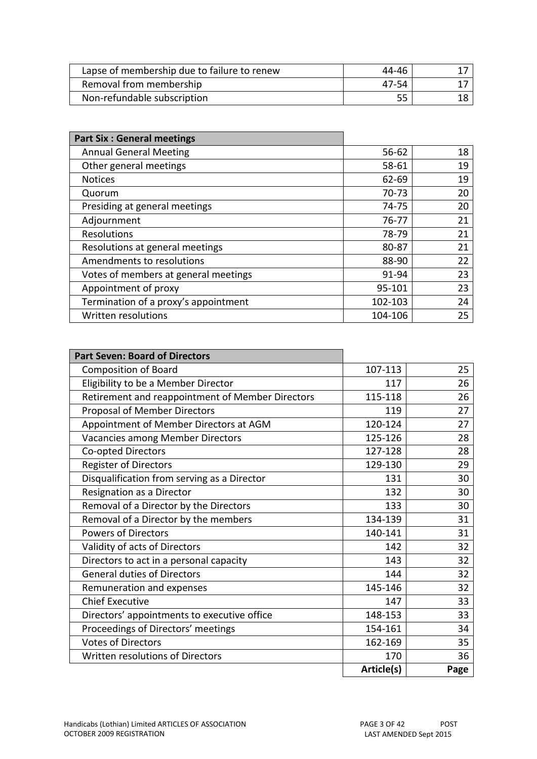| Lapse of membership due to failure to renew | 44-46 |  |
|---------------------------------------------|-------|--|
| Removal from membership                     | 47-54 |  |
| Non-refundable subscription                 |       |  |

| <b>Part Six: General meetings</b>    |           |    |
|--------------------------------------|-----------|----|
| <b>Annual General Meeting</b>        | $56 - 62$ | 18 |
| Other general meetings               | 58-61     | 19 |
| <b>Notices</b>                       | $62 - 69$ | 19 |
| Quorum                               | 70-73     | 20 |
| Presiding at general meetings        | 74-75     | 20 |
| Adjournment                          | 76-77     | 21 |
| <b>Resolutions</b>                   | 78-79     | 21 |
| Resolutions at general meetings      | 80-87     | 21 |
| Amendments to resolutions            | 88-90     | 22 |
| Votes of members at general meetings | 91-94     | 23 |
| Appointment of proxy                 | 95-101    | 23 |
| Termination of a proxy's appointment | 102-103   | 24 |
| Written resolutions                  | 104-106   | 25 |

| <b>Part Seven: Board of Directors</b>            |            |      |
|--------------------------------------------------|------------|------|
| <b>Composition of Board</b>                      | 107-113    | 25   |
| Eligibility to be a Member Director              | 117        | 26   |
| Retirement and reappointment of Member Directors | 115-118    | 26   |
| <b>Proposal of Member Directors</b>              | 119        | 27   |
| Appointment of Member Directors at AGM           | 120-124    | 27   |
| Vacancies among Member Directors                 | 125-126    | 28   |
| Co-opted Directors                               | 127-128    | 28   |
| <b>Register of Directors</b>                     | 129-130    | 29   |
| Disqualification from serving as a Director      | 131        | 30   |
| Resignation as a Director                        | 132        | 30   |
| Removal of a Director by the Directors           | 133        | 30   |
| Removal of a Director by the members             | 134-139    | 31   |
| <b>Powers of Directors</b>                       | 140-141    | 31   |
| Validity of acts of Directors                    | 142        | 32   |
| Directors to act in a personal capacity          | 143        | 32   |
| <b>General duties of Directors</b>               | 144        | 32   |
| Remuneration and expenses                        | 145-146    | 32   |
| <b>Chief Executive</b>                           | 147        | 33   |
| Directors' appointments to executive office      | 148-153    | 33   |
| Proceedings of Directors' meetings               | 154-161    | 34   |
| <b>Votes of Directors</b>                        | 162-169    | 35   |
| Written resolutions of Directors                 | 170        | 36   |
|                                                  | Article(s) | Page |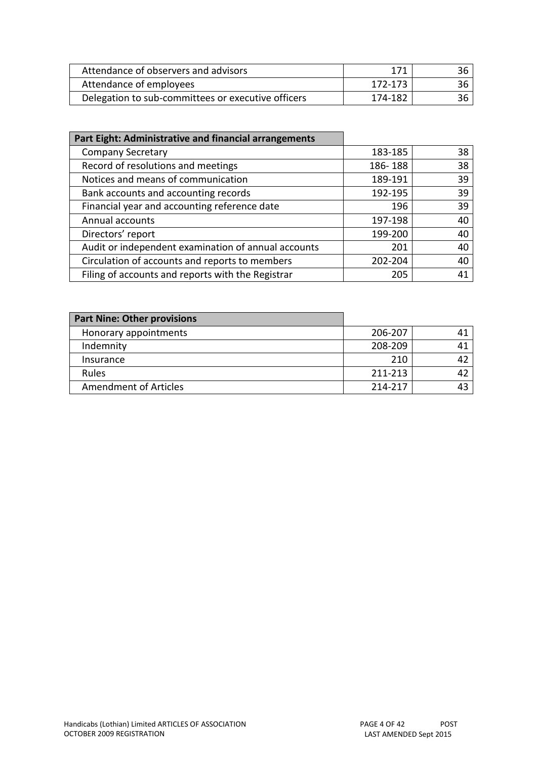| Attendance of observers and advisors               | 171     | 36 |
|----------------------------------------------------|---------|----|
| Attendance of employees                            | 172-173 | 36 |
| Delegation to sub-committees or executive officers | 174-182 | 36 |

| Part Eight: Administrative and financial arrangements |         |    |
|-------------------------------------------------------|---------|----|
| <b>Company Secretary</b>                              | 183-185 | 38 |
| Record of resolutions and meetings                    | 186-188 | 38 |
| Notices and means of communication                    | 189-191 | 39 |
| Bank accounts and accounting records                  | 192-195 | 39 |
| Financial year and accounting reference date          | 196     | 39 |
| Annual accounts                                       | 197-198 | 40 |
| Directors' report                                     | 199-200 | 40 |
| Audit or independent examination of annual accounts   | 201     | 40 |
| Circulation of accounts and reports to members        | 202-204 | 40 |
| Filing of accounts and reports with the Registrar     | 205     | 41 |

| <b>Part Nine: Other provisions</b> |         |  |
|------------------------------------|---------|--|
| Honorary appointments              | 206-207 |  |
| Indemnity                          | 208-209 |  |
| Insurance                          | 210     |  |
| <b>Rules</b>                       | 211-213 |  |
| <b>Amendment of Articles</b>       | 214-217 |  |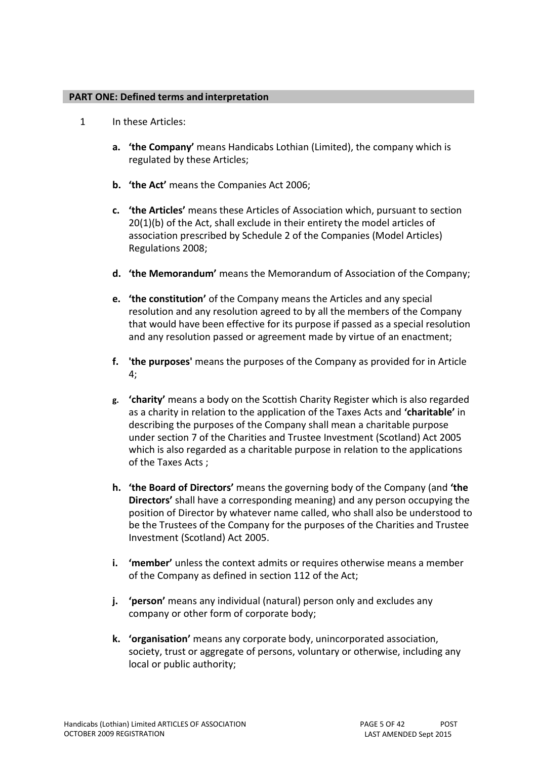#### **PART ONE: Defined terms and interpretation**

- <span id="page-4-0"></span>1 In these Articles:
	- **a. 'the Company'** means Handicabs Lothian (Limited), the company which is regulated by these Articles;
	- **b. 'the Act'** means the Companies Act 2006;
	- **c. 'the Articles'** means these Articles of Association which, pursuant to section 20(1)(b) of the Act, shall exclude in their entirety the model articles of association prescribed by Schedule 2 of the Companies (Model Articles) Regulations 2008;
	- **d. 'the Memorandum'** means the Memorandum of Association of the Company;
	- **e. 'the constitution'** of the Company means the Articles and any special resolution and any resolution agreed to by all the members of the Company that would have been effective for its purpose if passed as a special resolution and any resolution passed or agreement made by virtue of an enactment;
	- **f. 'the purposes'** means the purposes of the Company as provided for in Article 4;
	- **g. 'charity'** means a body on the Scottish Charity Register which is also regarded as a charity in relation to the application of the Taxes Acts and **'charitable'** in describing the purposes of the Company shall mean a charitable purpose under section 7 of the Charities and Trustee Investment (Scotland) Act 2005 which is also regarded as a charitable purpose in relation to the applications of the Taxes Acts ;
	- **h. 'the Board of Directors'** means the governing body of the Company (and **'the Directors'** shall have a corresponding meaning) and any person occupying the position of Director by whatever name called, who shall also be understood to be the Trustees of the Company for the purposes of the Charities and Trustee Investment (Scotland) Act 2005.
	- **i. 'member'** unless the context admits or requires otherwise means a member of the Company as defined in section 112 of the Act;
	- **j. 'person'** means any individual (natural) person only and excludes any company or other form of corporate body;
	- **k. 'organisation'** means any corporate body, unincorporated association, society, trust or aggregate of persons, voluntary or otherwise, including any local or public authority;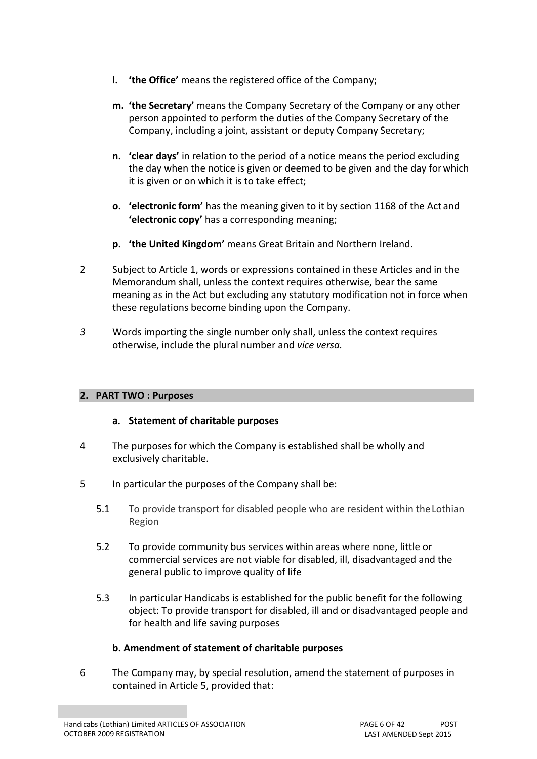- **l. 'the Office'** means the registered office of the Company;
- **m. 'the Secretary'** means the Company Secretary of the Company or any other person appointed to perform the duties of the Company Secretary of the Company, including a joint, assistant or deputy Company Secretary;
- **n. 'clear days'** in relation to the period of a notice means the period excluding the day when the notice is given or deemed to be given and the day forwhich it is given or on which it is to take effect;
- **o. 'electronic form'** has the meaning given to it by section 1168 of the Act and **'electronic copy'** has a corresponding meaning;
- **p. 'the United Kingdom'** means Great Britain and Northern Ireland.
- 2 Subject to Article 1, words or expressions contained in these Articles and in the Memorandum shall, unless the context requires otherwise, bear the same meaning as in the Act but excluding any statutory modification not in force when these regulations become binding upon the Company.
- <span id="page-5-0"></span>*3* Words importing the single number only shall, unless the context requires otherwise, include the plural number and *vice versa.*

## **2. PART TWO : Purposes**

## **a. Statement of charitable purposes**

- <span id="page-5-1"></span>4 The purposes for which the Company is established shall be wholly and exclusively charitable.
- <span id="page-5-2"></span>5 In particular the purposes of the Company shall be:
	- 5.1 To provide transport for disabled people who are resident within theLothian Region
	- 5.2 To provide community bus services within areas where none, little or commercial services are not viable for disabled, ill, disadvantaged and the general public to improve quality of life
	- 5.3 In particular Handicabs is established for the public benefit for the following object: To provide transport for disabled, ill and or disadvantaged people and for health and life saving purposes

## **b. Amendment of statement of charitable purposes**

<span id="page-5-3"></span>6 The Company may, by special resolution, amend the statement of purposes in contained in Arti[cle 5,](#page-5-2) provided that: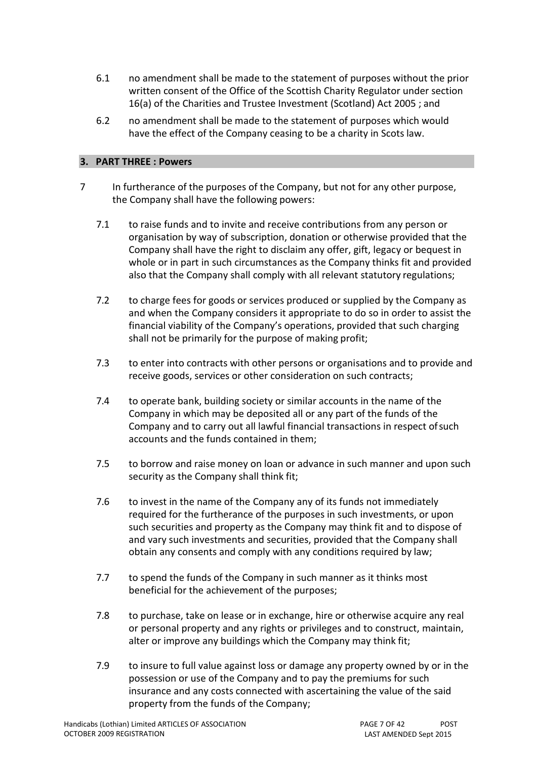- 6.1 no amendment shall be made to the statement of purposes without the prior written consent of the Office of the Scottish Charity Regulator under section 16(a) of the Charities and Trustee Investment (Scotland) Act 2005 ; and
- 6.2 no amendment shall be made to the statement of purposes which would have the effect of the Company ceasing to be a charity in Scots law.

#### **3. PART THREE : Powers**

- <span id="page-6-0"></span>7 In furtherance of the purposes of the Company, but not for any other purpose, the Company shall have the following powers:
	- 7.1 to raise funds and to invite and receive contributions from any person or organisation by way of subscription, donation or otherwise provided that the Company shall have the right to disclaim any offer, gift, legacy or bequest in whole or in part in such circumstances as the Company thinks fit and provided also that the Company shall comply with all relevant statutory regulations;
	- 7.2 to charge fees for goods or services produced or supplied by the Company as and when the Company considers it appropriate to do so in order to assist the financial viability of the Company's operations, provided that such charging shall not be primarily for the purpose of making profit;
	- 7.3 to enter into contracts with other persons or organisations and to provide and receive goods, services or other consideration on such contracts;
	- 7.4 to operate bank, building society or similar accounts in the name of the Company in which may be deposited all or any part of the funds of the Company and to carry out all lawful financial transactions in respect ofsuch accounts and the funds contained in them;
	- 7.5 to borrow and raise money on loan or advance in such manner and upon such security as the Company shall think fit;
	- 7.6 to invest in the name of the Company any of its funds not immediately required for the furtherance of the purposes in such investments, or upon such securities and property as the Company may think fit and to dispose of and vary such investments and securities, provided that the Company shall obtain any consents and comply with any conditions required by law;
	- 7.7 to spend the funds of the Company in such manner as it thinks most beneficial for the achievement of the purposes;
	- 7.8 to purchase, take on lease or in exchange, hire or otherwise acquire any real or personal property and any rights or privileges and to construct, maintain, alter or improve any buildings which the Company may think fit;
	- 7.9 to insure to full value against loss or damage any property owned by or in the possession or use of the Company and to pay the premiums for such insurance and any costs connected with ascertaining the value of the said property from the funds of the Company;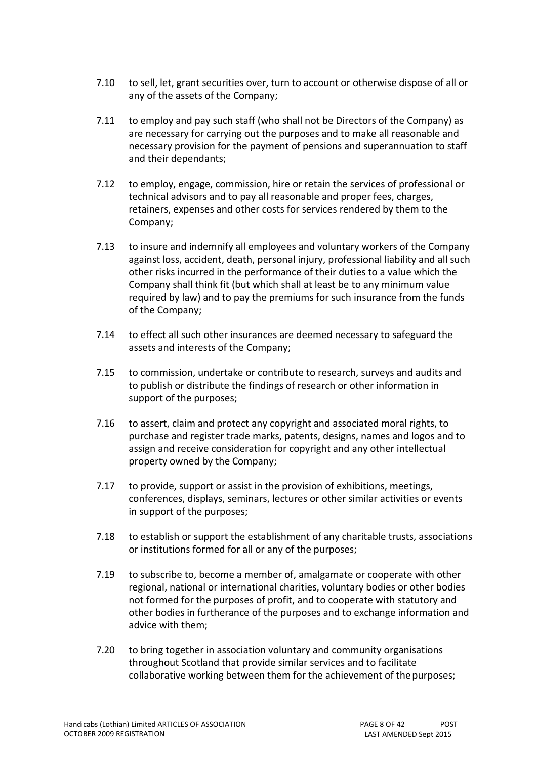- 7.10 to sell, let, grant securities over, turn to account or otherwise dispose of all or any of the assets of the Company;
- 7.11 to employ and pay such staff (who shall not be Directors of the Company) as are necessary for carrying out the purposes and to make all reasonable and necessary provision for the payment of pensions and superannuation to staff and their dependants;
- 7.12 to employ, engage, commission, hire or retain the services of professional or technical advisors and to pay all reasonable and proper fees, charges, retainers, expenses and other costs for services rendered by them to the Company;
- 7.13 to insure and indemnify all employees and voluntary workers of the Company against loss, accident, death, personal injury, professional liability and all such other risks incurred in the performance of their duties to a value which the Company shall think fit (but which shall at least be to any minimum value required by law) and to pay the premiums for such insurance from the funds of the Company;
- 7.14 to effect all such other insurances are deemed necessary to safeguard the assets and interests of the Company;
- 7.15 to commission, undertake or contribute to research, surveys and audits and to publish or distribute the findings of research or other information in support of the purposes;
- 7.16 to assert, claim and protect any copyright and associated moral rights, to purchase and register trade marks, patents, designs, names and logos and to assign and receive consideration for copyright and any other intellectual property owned by the Company;
- 7.17 to provide, support or assist in the provision of exhibitions, meetings, conferences, displays, seminars, lectures or other similar activities or events in support of the purposes;
- 7.18 to establish or support the establishment of any charitable trusts, associations or institutions formed for all or any of the purposes;
- 7.19 to subscribe to, become a member of, amalgamate or cooperate with other regional, national or international charities, voluntary bodies or other bodies not formed for the purposes of profit, and to cooperate with statutory and other bodies in furtherance of the purposes and to exchange information and advice with them;
- 7.20 to bring together in association voluntary and community organisations throughout Scotland that provide similar services and to facilitate collaborative working between them for the achievement of the purposes;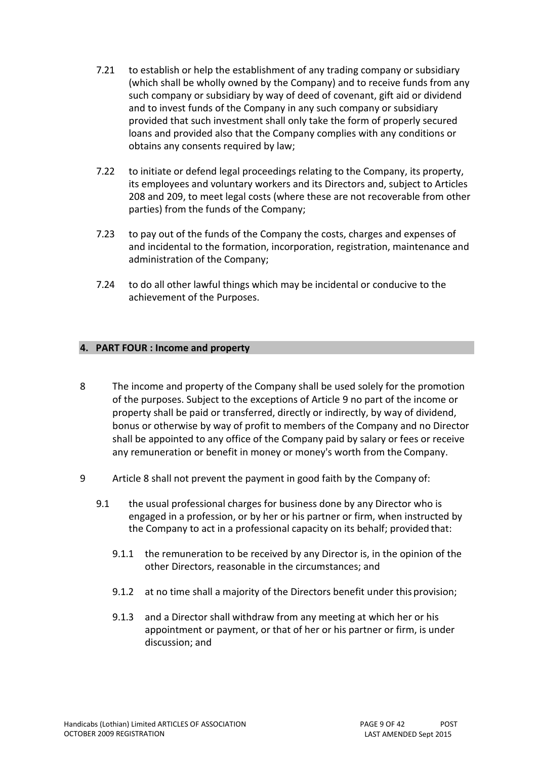- 7.21 to establish or help the establishment of any trading company or subsidiary (which shall be wholly owned by the Company) and to receive funds from any such company or subsidiary by way of deed of covenant, gift aid or dividend and to invest funds of the Company in any such company or subsidiary provided that such investment shall only take the form of properly secured loans and provided also that the Company complies with any conditions or obtains any consents required by law;
- 7.22 to initiate or defend legal proceedings relating to the Company, its property, its employees and voluntary workers and its Directors and, subject to Articles [208 a](#page-39-2)nd [209,](#page-39-3) to meet legal costs (where these are not recoverable from other parties) from the funds of the Company;
- 7.23 to pay out of the funds of the Company the costs, charges and expenses of and incidental to the formation, incorporation, registration, maintenance and administration of the Company;
- 7.24 to do all other lawful things which may be incidental or conducive to the achievement of the Purposes.

#### **4. PART FOUR : Income and property**

- <span id="page-8-0"></span>8 The income and property of the Company shall be used solely for the promotion of the purposes. Subject to the exceptions of Article [9 n](#page-8-1)o part of the income or property shall be paid or transferred, directly or indirectly, by way of dividend, bonus or otherwise by way of profit to members of the Company and no Director shall be appointed to any office of the Company paid by salary or fees or receive any remuneration or benefit in money or money's worth from the Company.
- <span id="page-8-1"></span>9 Article [8 s](#page-8-0)hall not prevent the payment in good faith by the Company of:
	- 9.1 the usual professional charges for business done by any Director who is engaged in a profession, or by her or his partner or firm, when instructed by the Company to act in a professional capacity on its behalf; provided that:
		- 9.1.1 the remuneration to be received by any Director is, in the opinion of the other Directors, reasonable in the circumstances; and
		- 9.1.2 at no time shall a majority of the Directors benefit under this provision;
		- 9.1.3 and a Director shall withdraw from any meeting at which her or his appointment or payment, or that of her or his partner or firm, is under discussion; and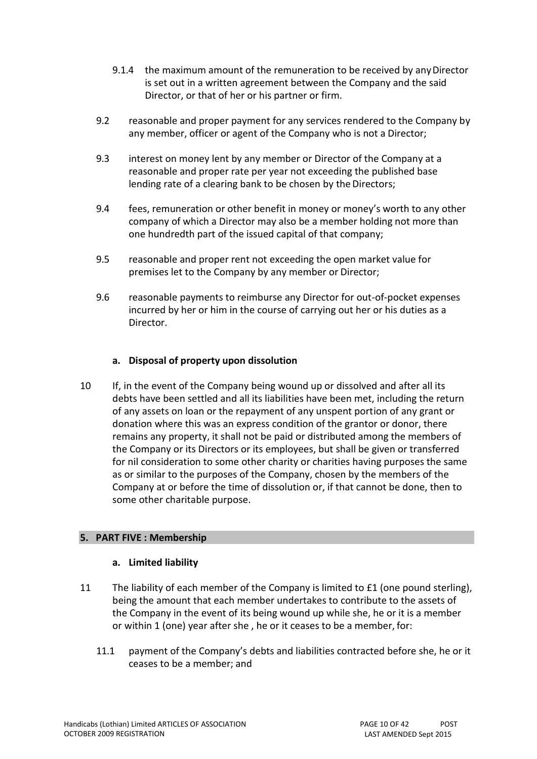- 9.1.4 the maximum amount of the remuneration to be received by anyDirector is set out in a written agreement between the Company and the said Director, or that of her or his partner or firm.
- 9.2 reasonable and proper payment for any services rendered to the Company by any member, officer or agent of the Company who is not a Director;
- 9.3 interest on money lent by any member or Director of the Company at a reasonable and proper rate per year not exceeding the published base lending rate of a clearing bank to be chosen by the Directors;
- 9.4 fees, remuneration or other benefit in money or money's worth to any other company of which a Director may also be a member holding not more than one hundredth part of the issued capital of that company;
- 9.5 reasonable and proper rent not exceeding the open market value for premises let to the Company by any member or Director;
- 9.6 reasonable payments to reimburse any Director for out-of-pocket expenses incurred by her or him in the course of carrying out her or his duties as a Director.

## **a. Disposal of property upon dissolution**

<span id="page-9-0"></span>10 If, in the event of the Company being wound up or dissolved and after all its debts have been settled and all its liabilities have been met, including the return of any assets on loan or the repayment of any unspent portion of any grant or donation where this was an express condition of the grantor or donor, there remains any property, it shall not be paid or distributed among the members of the Company or its Directors or its employees, but shall be given or transferred for nil consideration to some other charity or charities having purposes the same as or similar to the purposes of the Company, chosen by the members of the Company at or before the time of dissolution or, if that cannot be done, then to some other charitable purpose.

## **5. PART FIVE : Membership**

## **a. Limited liability**

- <span id="page-9-1"></span>11 The liability of each member of the Company is limited to £1 (one pound sterling), being the amount that each member undertakes to contribute to the assets of the Company in the event of its being wound up while she, he or it is a member or within 1 (one) year after she , he or it ceases to be a member, for:
	- 11.1 payment of the Company's debts and liabilities contracted before she, he or it ceases to be a member; and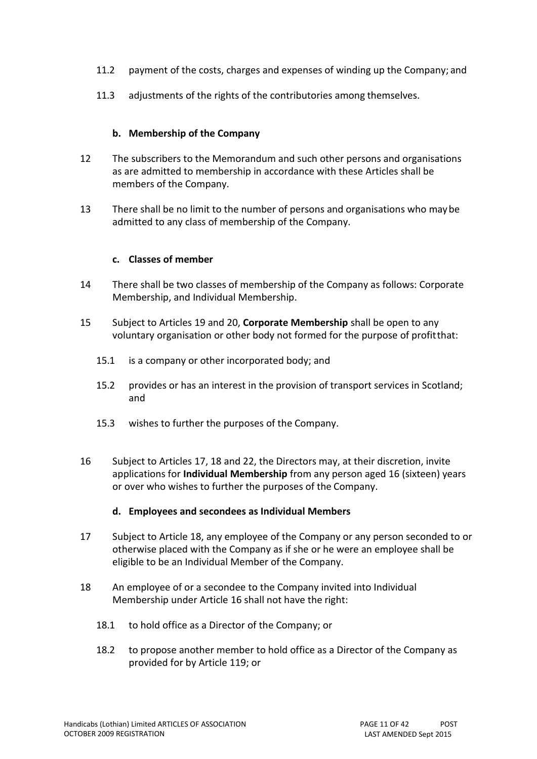- 11.2 payment of the costs, charges and expenses of winding up the Company; and
- 11.3 adjustments of the rights of the contributories among themselves.

#### **b. Membership of the Company**

- <span id="page-10-0"></span>12 The subscribers to the Memorandum and such other persons and organisations as are admitted to membership in accordance with these Articles shall be members of the Company.
- <span id="page-10-1"></span>13 There shall be no limit to the number of persons and organisations who maybe admitted to any class of membership of the Company.

#### **c. Classes of member**

- <span id="page-10-2"></span>14 There shall be two classes of membership of the Company as follows: Corporate Membership, and Individual Membership.
- 15 Subject to Articles [19 a](#page-11-0)nd [20,](#page-11-4) **Corporate Membership** shall be open to any voluntary organisation or other body not formed for the purpose of profitthat:
	- 15.1 is a company or other incorporated body; and
	- 15.2 provides or has an interest in the provision of transport services in Scotland; and
	- 15.3 wishes to further the purposes of the Company.
- <span id="page-10-3"></span>16 Subject to Articles [17,](#page-10-4) [18 a](#page-10-5)nd [22,](#page-11-5) the Directors may, at their discretion, invite applications for **Individual Membership** from any person aged 16 (sixteen) years or over who wishes to further the purposes of the Company.

#### **d. Employees and secondees as Individual Members**

- <span id="page-10-4"></span>17 Subject to Article [18,](#page-10-5) any employee of the Company or any person seconded to or otherwise placed with the Company as if she or he were an employee shall be eligible to be an Individual Member of the Company.
- <span id="page-10-5"></span>18 An employee of or a secondee to the Company invited into Individual Membership under Article [16 s](#page-10-3)hall not have the right:
	- 18.1 to hold office as a Director of the Company; or
	- 18.2 to propose another member to hold office as a Director of the Company as provided for by Article [119;](#page-24-2) or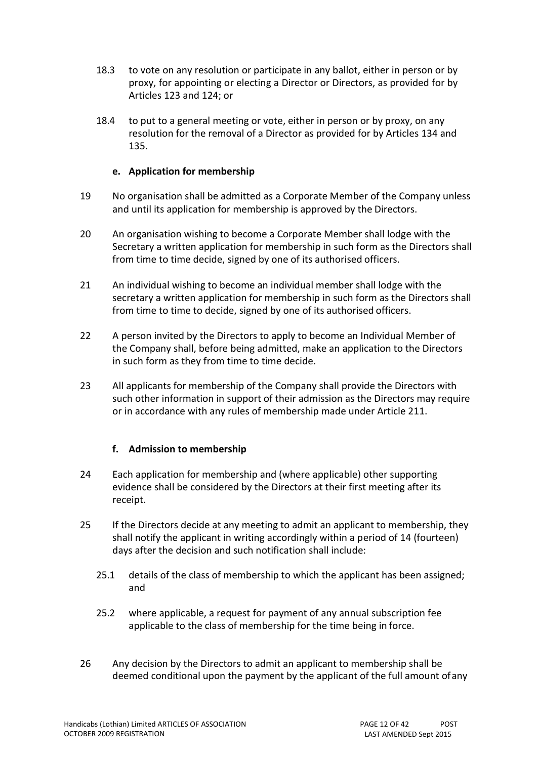- 18.3 to vote on any resolution or participate in any ballot, either in person or by proxy, for appointing or electing a Director or Directors, as provided for by Arti[cles 123 a](#page-25-2)nd [124;](#page-25-1) or
- 18.4 to put to a general meeting or vote, either in person or by proxy, on any resolution for the removal of a Director as provided for by Articles [134 a](#page-28-2)n[d](#page-28-3) [135.](#page-28-3)

#### **e. Application for membership**

- <span id="page-11-0"></span>19 No organisation shall be admitted as a Corporate Member of the Company unless and until its application for membership is approved by the Directors.
- <span id="page-11-4"></span>20 An organisation wishing to become a Corporate Member shall lodge with the Secretary a written application for membership in such form as the Directors shall from time to time decide, signed by one of its authorised officers.
- 21 An individual wishing to become an individual member shall lodge with the secretary a written application for membership in such form as the Directors shall from time to time to decide, signed by one of its authorised officers.
- <span id="page-11-5"></span>22 A person invited by the Directors to apply to become an Individual Member of the Company shall, before being admitted, make an application to the Directors in such form as they from time to time decide.
- <span id="page-11-1"></span>23 All applicants for membership of the Company shall provide the Directors with such other information in support of their admission as the Directors may require or in accordance with any rules of membership made under Article [211.](#page-40-1)

## **f. Admission to membership**

- <span id="page-11-2"></span>24 Each application for membership and (where applicable) other supporting evidence shall be considered by the Directors at their first meeting after its receipt.
- 25 If the Directors decide at any meeting to admit an applicant to membership, they shall notify the applicant in writing accordingly within a period of 14 (fourteen) days after the decision and such notification shall include:
	- 25.1 details of the class of membership to which the applicant has been assigned; and
	- 25.2 where applicable, a request for payment of any annual subscription fee applicable to the class of membership for the time being in force.
- <span id="page-11-3"></span>26 Any decision by the Directors to admit an applicant to membership shall be deemed conditional upon the payment by the applicant of the full amount ofany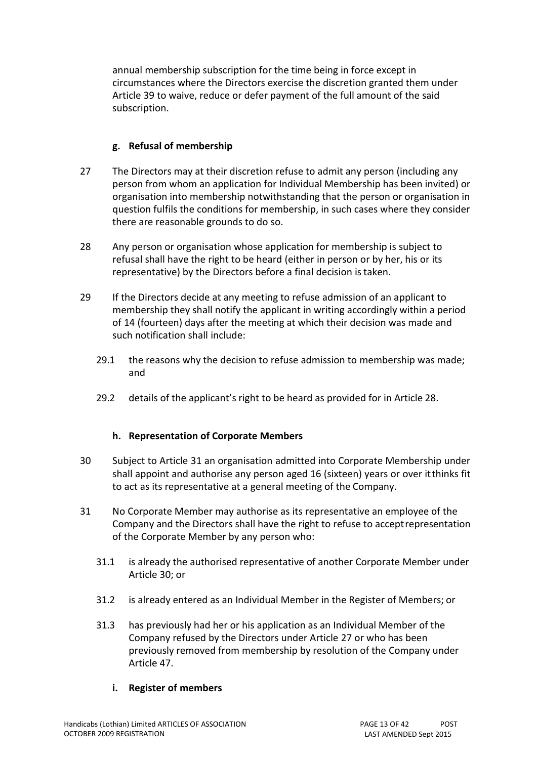annual membership subscription for the time being in force except in circumstances where the Directors exercise the discretion granted them under Article [39 t](#page-14-2)o waive, reduce or defer payment of the full amount of the said subscription.

## **g. Refusal of membership**

- <span id="page-12-0"></span>27 The Directors may at their discretion refuse to admit any person (including any person from whom an application for Individual Membership has been invited) or organisation into membership notwithstanding that the person or organisation in question fulfils the conditions for membership, in such cases where they consider there are reasonable grounds to do so.
- <span id="page-12-4"></span>28 Any person or organisation whose application for membership is subject to refusal shall have the right to be heard (either in person or by her, his or its representative) by the Directors before a final decision istaken.
- <span id="page-12-1"></span>29 If the Directors decide at any meeting to refuse admission of an applicant to membership they shall notify the applicant in writing accordingly within a period of 14 (fourteen) days after the meeting at which their decision was made and such notification shall include:
	- 29.1 the reasons why the decision to refuse admission to membership was made; and
	- 29.2 details of the applicant's right to be heard as provided for in Article [28.](#page-12-4)

## **h. Representation of Corporate Members**

- <span id="page-12-2"></span>30 Subject to Article [31 a](#page-12-3)n organisation admitted into Corporate Membership under shall appoint and authorise any person aged 16 (sixteen) years or over itthinks fit to act as its representative at a general meeting of the Company.
- <span id="page-12-3"></span>31 No Corporate Member may authorise as its representative an employee of the Company and the Directors shall have the right to refuse to acceptrepresentation of the Corporate Member by any person who:
	- 31.1 is already the authorised representative of another Corporate Member under Article [30;](#page-12-2) or
	- 31.2 is already entered as an Individual Member in the Register of Members; or
	- 31.3 has previously had her or his application as an Individual Member of the Company refused by the Directors under Article [27 o](#page-12-0)r who has been previously removed from membership by resolution of the Company under Article [47.](#page-15-2)

## **i. Register of members**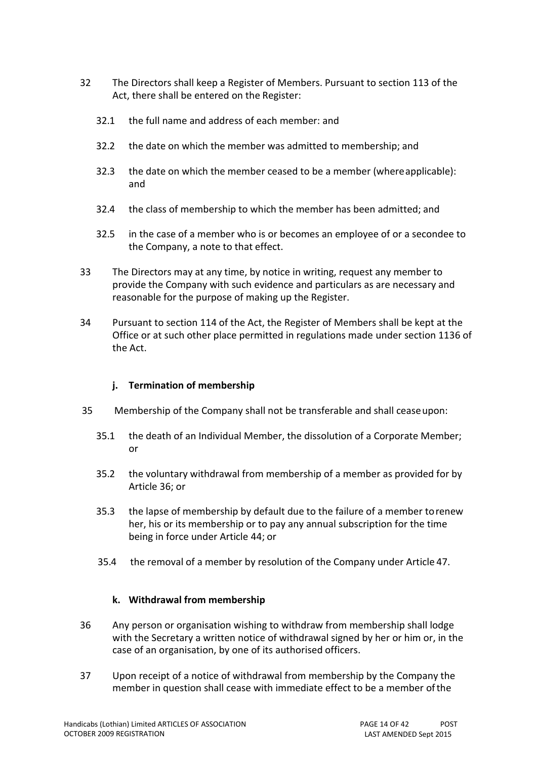- <span id="page-13-0"></span>32 The Directors shall keep a Register of Members. Pursuant to section 113 of the Act, there shall be entered on the Register:
	- 32.1 the full name and address of each member: and
	- 32.2 the date on which the member was admitted to membership; and
	- 32.3 the date on which the member ceased to be a member (whereapplicable): and
	- 32.4 the class of membership to which the member has been admitted; and
	- 32.5 in the case of a member who is or becomes an employee of or a secondee to the Company, a note to that effect.
- 33 The Directors may at any time, by notice in writing, request any member to provide the Company with such evidence and particulars as are necessary and reasonable for the purpose of making up the Register.
- <span id="page-13-1"></span>34 Pursuant to section 114 of the Act, the Register of Members shall be kept at the Office or at such other place permitted in regulations made under section 1136 of the Act.

#### **j. Termination of membership**

- <span id="page-13-2"></span>35 Membership of the Company shall not be transferable and shall ceaseupon:
	- 35.1 the death of an Individual Member, the dissolution of a Corporate Member; or
	- 35.2 the voluntary withdrawal from membership of a member as provided for by Article [36;](#page-13-3) or
	- 35.3 the lapse of membership by default due to the failure of a member torenew her, his or its membership or to pay any annual subscription for the time being in force under Article [44;](#page-15-0) or
	- 35.4 the removal of a member by resolution of the Company under Article [47.](#page-15-2)

## **k. Withdrawal from membership**

- <span id="page-13-3"></span>36 Any person or organisation wishing to withdraw from membership shall lodge with the Secretary a written notice of withdrawal signed by her or him or, in the case of an organisation, by one of its authorised officers.
- <span id="page-13-4"></span>37 Upon receipt of a notice of withdrawal from membership by the Company the member in question shall cease with immediate effect to be a member ofthe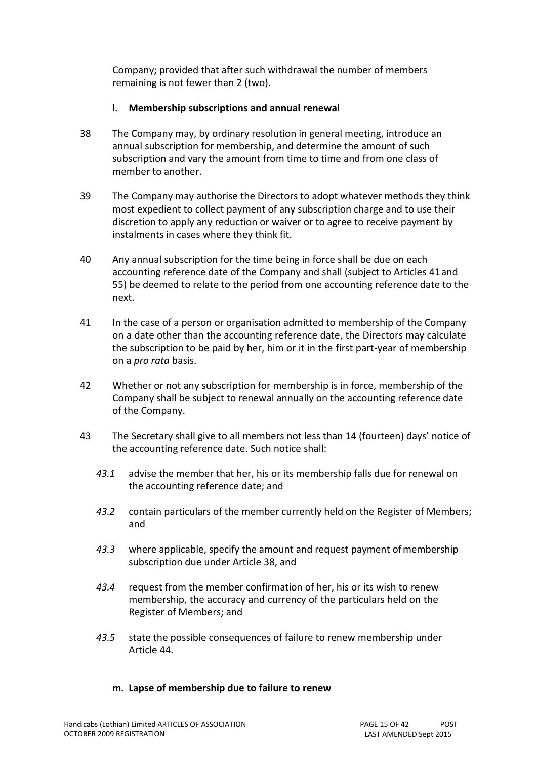Company; provided that after such withdrawal the number of members remaining is not fewer than 2 (two).

## **l. Membership subscriptions and annual renewal**

- <span id="page-14-0"></span>38 The Company may, by ordinary resolution in general meeting, introduce an annual subscription for membership, and determine the amount of such subscription and vary the amount from time to time and from one class of member to another.
- <span id="page-14-2"></span>39 The Company may authorise the Directors to adopt whatever methods they think most expedient to collect payment of any subscription charge and to use their discretion to apply any reduction or waiver or to agree to receive payment by instalments in cases where they think fit.
- 40 Any annual subscription for the time being in force shall be due on each accounting reference date of the Company and shall (subject to Articles [41a](#page-14-3)nd [55\)](#page-16-1) be deemed to relate to the period from one accounting reference date to the next.
- <span id="page-14-3"></span>41 In the case of a person or organisation admitted to membership of the Company on a date other than the accounting reference date, the Directors may calculate the subscription to be paid by her, him or it in the first part-year of membership on a *pro rata* basis.
- 42 Whether or not any subscription for membership is in force, membership of the Company shall be subject to renewal annually on the accounting reference date of the Company.
- <span id="page-14-1"></span>43 The Secretary shall give to all members not less than 14 (fourteen) days' notice of the accounting reference date. Such notice shall:
	- *43.1* advise the member that her, his or its membership falls due for renewal on the accounting reference date; and
	- *43.2* contain particulars of the member currently held on the Register of Members; and
	- 43.3 where applicable, specify the amount and request payment of membership subscription due under Article [38,](#page-14-0) and
	- *43.4* request from the member confirmation of her, his or its wish to renew membership, the accuracy and currency of the particulars held on the Register of Members; and
	- *43.5* state the possible consequences of failure to renew membership under Article [44.](#page-15-0)

## **m. Lapse of membership due to failure to renew**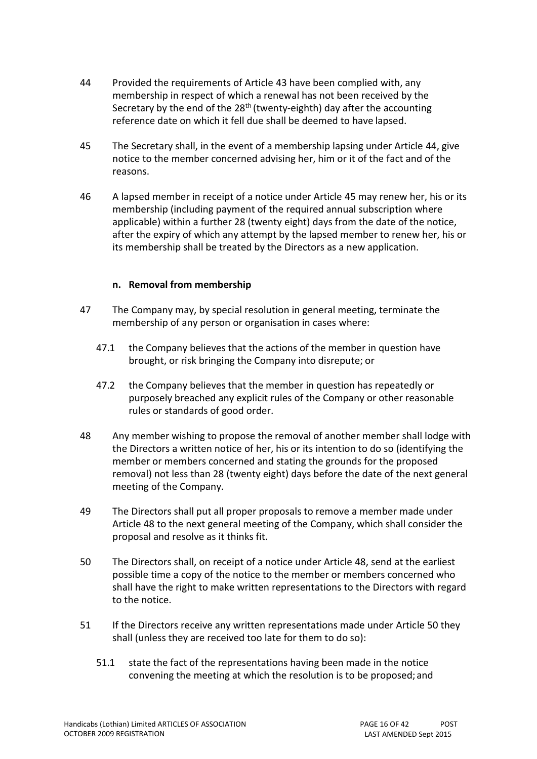- <span id="page-15-0"></span>44 Provided the requirements of Article [43 h](#page-14-1)ave been complied with, any membership in respect of which a renewal has not been received by the Secretary by the end of the  $28<sup>th</sup>$  (twenty-eighth) day after the accounting reference date on which it fell due shall be deemed to have lapsed.
- <span id="page-15-3"></span>45 The Secretary shall, in the event of a membership lapsing under Article [44,](#page-15-0) give notice to the member concerned advising her, him or it of the fact and of the reasons.
- <span id="page-15-1"></span>46 A lapsed member in receipt of a notice under Article [45 m](#page-15-3)ay renew her, his or its membership (including payment of the required annual subscription where applicable) within a further 28 (twenty eight) days from the date of the notice, after the expiry of which any attempt by the lapsed member to renew her, his or its membership shall be treated by the Directors as a new application.

#### **n. Removal from membership**

- <span id="page-15-2"></span>47 The Company may, by special resolution in general meeting, terminate the membership of any person or organisation in cases where:
	- 47.1 the Company believes that the actions of the member in question have brought, or risk bringing the Company into disrepute; or
	- 47.2 the Company believes that the member in question has repeatedly or purposely breached any explicit rules of the Company or other reasonable rules or standards of good order.
- <span id="page-15-4"></span>48 Any member wishing to propose the removal of another member shall lodge with the Directors a written notice of her, his or its intention to do so (identifying the member or members concerned and stating the grounds for the proposed removal) not less than 28 (twenty eight) days before the date of the next general meeting of the Company.
- 49 The Directors shall put all proper proposals to remove a member made under Article [48 t](#page-15-4)o the next general meeting of the Company, which shall consider the proposal and resolve as it thinks fit.
- <span id="page-15-5"></span>50 The Directors shall, on receipt of a notice under Article [48,](#page-15-4) send at the earliest possible time a copy of the notice to the member or members concerned who shall have the right to make written representations to the Directors with regard to the notice.
- 51 If the Directors receive any written representations made under Arti[cle 50 t](#page-15-5)hey shall (unless they are received too late for them to do so):
	- 51.1 state the fact of the representations having been made in the notice convening the meeting at which the resolution is to be proposed; and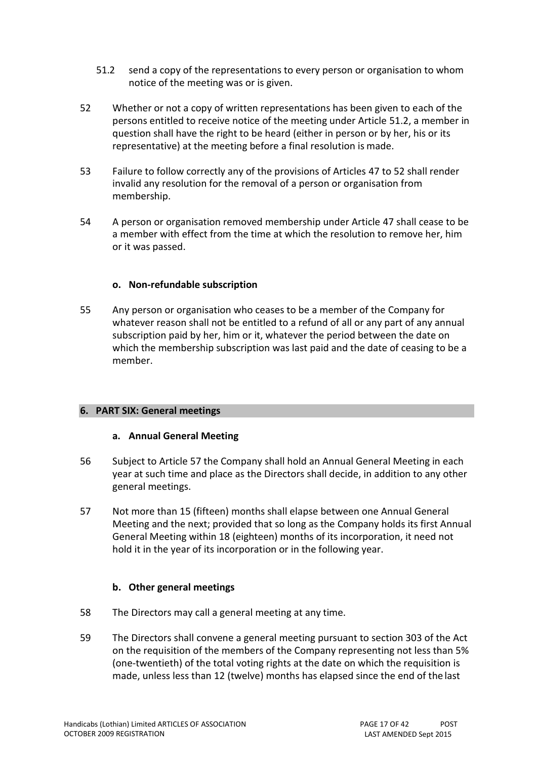- <span id="page-16-4"></span>51.2 send a copy of the representations to every person or organisation to whom notice of the meeting was or is given.
- <span id="page-16-5"></span>52 Whether or not a copy of written representations has been given to each of the persons entitled to receive notice of the meeting under Article [51.2,](#page-16-4) a member in question shall have the right to be heard (either in person or by her, his or its representative) at the meeting before a final resolution is made.
- 53 Failure to follow correctly any of the provisions of Articles [47 t](#page-15-2)o [52 s](#page-16-5)hall render invalid any resolution for the removal of a person or organisation from membership.
- <span id="page-16-0"></span>54 A person or organisation removed membership under Article [47 s](#page-15-2)hall cease to be a member with effect from the time at which the resolution to remove her, him or it was passed.

#### **o. Non-refundable subscription**

<span id="page-16-1"></span>55 Any person or organisation who ceases to be a member of the Company for whatever reason shall not be entitled to a refund of all or any part of any annual subscription paid by her, him or it, whatever the period between the date on which the membership subscription was last paid and the date of ceasing to be a member.

#### **6. PART SIX: General meetings**

#### **a. Annual General Meeting**

- <span id="page-16-2"></span>56 Subject to Article [57 t](#page-16-6)he Company shall hold an Annual General Meeting in each year at such time and place as the Directors shall decide, in addition to any other general meetings.
- <span id="page-16-6"></span>57 Not more than 15 (fifteen) months shall elapse between one Annual General Meeting and the next; provided that so long as the Company holds its first Annual General Meeting within 18 (eighteen) months of its incorporation, it need not hold it in the year of its incorporation or in the following year.

## **b. Other general meetings**

- <span id="page-16-3"></span>58 The Directors may call a general meeting at any time.
- <span id="page-16-7"></span>59 The Directors shall convene a general meeting pursuant to section 303 of the Act on the requisition of the members of the Company representing not less than 5% (one-twentieth) of the total voting rights at the date on which the requisition is made, unless less than 12 (twelve) months has elapsed since the end of the last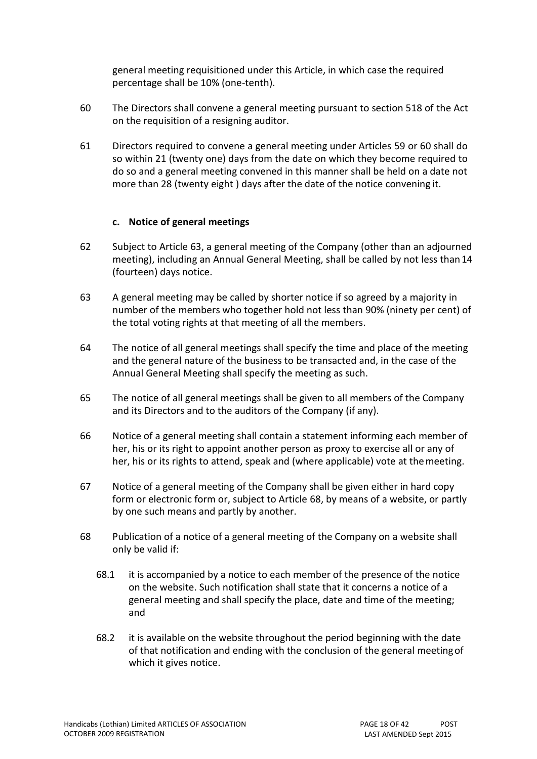general meeting requisitioned under this Article, in which case the required percentage shall be 10% (one-tenth).

- <span id="page-17-2"></span>60 The Directors shall convene a general meeting pursuant to section 518 of the Act on the requisition of a resigning auditor.
- <span id="page-17-0"></span>61 Directors required to convene a general meeting under Articles [59 o](#page-16-7)r [60 s](#page-17-2)hall do so within 21 (twenty one) days from the date on which they become required to do so and a general meeting convened in this manner shall be held on a date not more than 28 (twenty eight ) days after the date of the notice convening it.

#### **c. Notice of general meetings**

- <span id="page-17-1"></span>62 Subject to Article [63,](#page-17-3) a general meeting of the Company (other than an adjourned meeting), including an Annual General Meeting, shall be called by not less than14 (fourteen) days notice.
- <span id="page-17-3"></span>63 A general meeting may be called by shorter notice if so agreed by a majority in number of the members who together hold not less than 90% (ninety per cent) of the total voting rights at that meeting of all the members.
- 64 The notice of all general meetings shall specify the time and place of the meeting and the general nature of the business to be transacted and, in the case of the Annual General Meeting shall specify the meeting as such.
- 65 The notice of all general meetings shall be given to all members of the Company and its Directors and to the auditors of the Company (if any).
- 66 Notice of a general meeting shall contain a statement informing each member of her, his or its right to appoint another person as proxy to exercise all or any of her, his or its rights to attend, speak and (where applicable) vote at themeeting.
- 67 Notice of a general meeting of the Company shall be given either in hard copy form or electronic form or, subject to Article [68,](#page-17-4) by means of a website, or partly by one such means and partly by another.
- <span id="page-17-4"></span>68 Publication of a notice of a general meeting of the Company on a website shall only be valid if:
	- 68.1 it is accompanied by a notice to each member of the presence of the notice on the website. Such notification shall state that it concerns a notice of a general meeting and shall specify the place, date and time of the meeting; and
	- 68.2 it is available on the website throughout the period beginning with the date of that notification and ending with the conclusion of the general meetingof which it gives notice.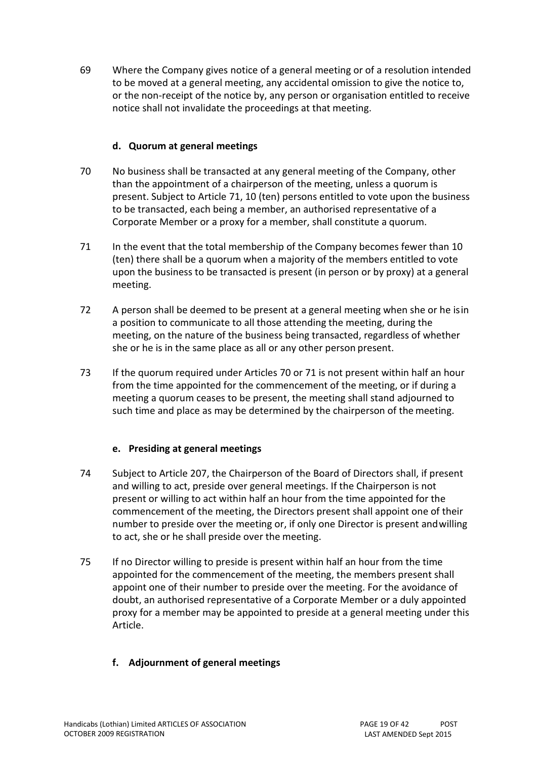<span id="page-18-0"></span>69 Where the Company gives notice of a general meeting or of a resolution intended to be moved at a general meeting, any accidental omission to give the notice to, or the non-receipt of the notice by, any person or organisation entitled to receive notice shall not invalidate the proceedings at that meeting.

## **d. Quorum at general meetings**

- <span id="page-18-1"></span>70 No business shall be transacted at any general meeting of the Company, other than the appointment of a chairperson of the meeting, unless a quorum is present. Subject to Article [71,](#page-18-5) 10 (ten) persons entitled to vote upon the business to be transacted, each being a member, an authorised representative of a Corporate Member or a proxy for a member, shall constitute a quorum.
- <span id="page-18-5"></span>71 In the event that the total membership of the Company becomes fewer than 10 (ten) there shall be a quorum when a majority of the members entitled to vote upon the business to be transacted is present (in person or by proxy) at a general meeting.
- 72 A person shall be deemed to be present at a general meeting when she or he isin a position to communicate to all those attending the meeting, during the meeting, on the nature of the business being transacted, regardless of whether she or he is in the same place as all or any other person present.
- <span id="page-18-2"></span>73 If the quorum required under Articles [70 o](#page-18-1)[r 71 i](#page-18-5)s not present within half an hour from the time appointed for the commencement of the meeting, or if during a meeting a quorum ceases to be present, the meeting shall stand adjourned to such time and place as may be determined by the chairperson of the meeting.

## **e. Presiding at general meetings**

- <span id="page-18-3"></span>74 Subject to Article [207,](#page-39-1) the Chairperson of the Board of Directors shall, if present and willing to act, preside over general meetings. If the Chairperson is not present or willing to act within half an hour from the time appointed for the commencement of the meeting, the Directors present shall appoint one of their number to preside over the meeting or, if only one Director is present andwilling to act, she or he shall preside over the meeting.
- <span id="page-18-4"></span>75 If no Director willing to preside is present within half an hour from the time appointed for the commencement of the meeting, the members present shall appoint one of their number to preside over the meeting. For the avoidance of doubt, an authorised representative of a Corporate Member or a duly appointed proxy for a member may be appointed to preside at a general meeting under this Article.

## **f. Adjournment of general meetings**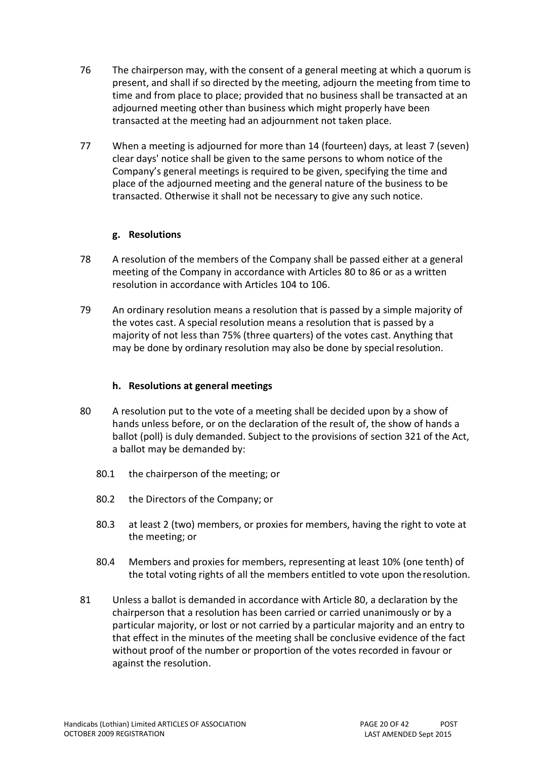- <span id="page-19-0"></span>76 The chairperson may, with the consent of a general meeting at which a quorum is present, and shall if so directed by the meeting, adjourn the meeting from time to time and from place to place; provided that no business shall be transacted at an adjourned meeting other than business which might properly have been transacted at the meeting had an adjournment not taken place.
- <span id="page-19-1"></span>77 When a meeting is adjourned for more than 14 (fourteen) days, at least 7 (seven) clear days' notice shall be given to the same persons to whom notice of the Company's general meetings is required to be given, specifying the time and place of the adjourned meeting and the general nature of the business to be transacted. Otherwise it shall not be necessary to give any such notice.

#### **g. Resolutions**

- <span id="page-19-2"></span>78 A resolution of the members of the Company shall be passed either at a general meeting of the Company in accordance with Articles [80 t](#page-19-4)o [86 o](#page-20-2)r as a written resolution in accordance with Articles [104 t](#page-22-3)o [106.](#page-23-0)
- <span id="page-19-3"></span>79 An ordinary resolution means a resolution that is passed by a simple majority of the votes cast. A special resolution means a resolution that is passed by a majority of not less than 75% (three quarters) of the votes cast. Anything that may be done by ordinary resolution may also be done by special resolution.

## **h. Resolutions at general meetings**

- <span id="page-19-4"></span>80 A resolution put to the vote of a meeting shall be decided upon by a show of hands unless before, or on the declaration of the result of, the show of hands a ballot (poll) is duly demanded. Subject to the provisions of section 321 of the Act, a ballot may be demanded by:
	- 80.1 the chairperson of the meeting; or
	- 80.2 the Directors of the Company; or
	- 80.3 at least 2 (two) members, or proxies for members, having the right to vote at the meeting; or
	- 80.4 Members and proxies for members, representing at least 10% (one tenth) of the total voting rights of all the members entitled to vote upon theresolution.
- 81 Unless a ballot is demanded in accordance with Arti[cle 80,](#page-19-4) a declaration by the chairperson that a resolution has been carried or carried unanimously or by a particular majority, or lost or not carried by a particular majority and an entry to that effect in the minutes of the meeting shall be conclusive evidence of the fact without proof of the number or proportion of the votes recorded in favour or against the resolution.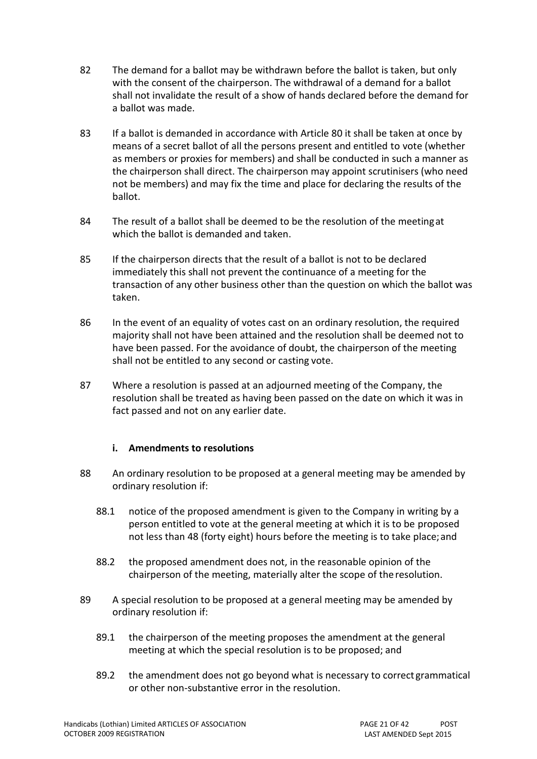- 82 The demand for a ballot may be withdrawn before the ballot is taken, but only with the consent of the chairperson. The withdrawal of a demand for a ballot shall not invalidate the result of a show of hands declared before the demand for a ballot was made.
- 83 If a ballot is demanded in accordance with Article [80 i](#page-19-4)t shall be taken at once by means of a secret ballot of all the persons present and entitled to vote (whether as members or proxies for members) and shall be conducted in such a manner as the chairperson shall direct. The chairperson may appoint scrutinisers (who need not be members) and may fix the time and place for declaring the results of the ballot.
- 84 The result of a ballot shall be deemed to be the resolution of the meetingat which the ballot is demanded and taken.
- 85 If the chairperson directs that the result of a ballot is not to be declared immediately this shall not prevent the continuance of a meeting for the transaction of any other business other than the question on which the ballot was taken.
- <span id="page-20-2"></span>86 In the event of an equality of votes cast on an ordinary resolution, the required majority shall not have been attained and the resolution shall be deemed not to have been passed. For the avoidance of doubt, the chairperson of the meeting shall not be entitled to any second or casting vote.
- <span id="page-20-0"></span>87 Where a resolution is passed at an adjourned meeting of the Company, the resolution shall be treated as having been passed on the date on which it was in fact passed and not on any earlier date.

## **i. Amendments to resolutions**

- <span id="page-20-1"></span>88 An ordinary resolution to be proposed at a general meeting may be amended by ordinary resolution if:
	- 88.1 notice of the proposed amendment is given to the Company in writing by a person entitled to vote at the general meeting at which it is to be proposed not less than 48 (forty eight) hours before the meeting is to take place;and
	- 88.2 the proposed amendment does not, in the reasonable opinion of the chairperson of the meeting, materially alter the scope of theresolution.
- 89 A special resolution to be proposed at a general meeting may be amended by ordinary resolution if:
	- 89.1 the chairperson of the meeting proposes the amendment at the general meeting at which the special resolution is to be proposed; and
	- 89.2 the amendment does not go beyond what is necessary to correctgrammatical or other non-substantive error in the resolution.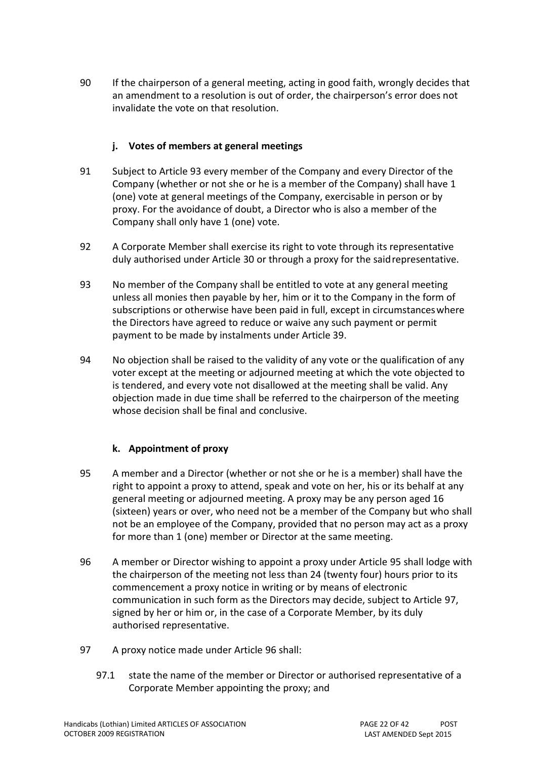<span id="page-21-0"></span>90 If the chairperson of a general meeting, acting in good faith, wrongly decides that an amendment to a resolution is out of order, the chairperson's error does not invalidate the vote on that resolution.

## **j. Votes of members at general meetings**

- <span id="page-21-1"></span>91 Subject to Article [93 e](#page-21-4)very member of the Company and every Director of the Company (whether or not she or he is a member of the Company) shall have 1 (one) vote at general meetings of the Company, exercisable in person or by proxy. For the avoidance of doubt, a Director who is also a member of the Company shall only have 1 (one) vote.
- 92 A Corporate Member shall exercise its right to vote through its representative duly authorised under Article [30 o](#page-12-2)r through a proxy for the saidrepresentative.
- <span id="page-21-4"></span>93 No member of the Company shall be entitled to vote at any general meeting unless all monies then payable by her, him or it to the Company in the form of subscriptions or otherwise have been paid in full, except in circumstanceswhere the Directors have agreed to reduce or waive any such payment or permit payment to be made by instalments under Article [39.](#page-14-2)
- <span id="page-21-2"></span>94 No objection shall be raised to the validity of any vote or the qualification of any voter except at the meeting or adjourned meeting at which the vote objected to is tendered, and every vote not disallowed at the meeting shall be valid. Any objection made in due time shall be referred to the chairperson of the meeting whose decision shall be final and conclusive.

## **k. Appointment of proxy**

- <span id="page-21-3"></span>95 A member and a Director (whether or not she or he is a member) shall have the right to appoint a proxy to attend, speak and vote on her, his or its behalf at any general meeting or adjourned meeting. A proxy may be any person aged 16 (sixteen) years or over, who need not be a member of the Company but who shall not be an employee of the Company, provided that no person may act as a proxy for more than 1 (one) member or Director at the same meeting.
- <span id="page-21-6"></span>96 A member or Director wishing to appoint a proxy under Article [95 s](#page-21-3)hall lodge with the chairperson of the meeting not less than 24 (twenty four) hours prior to its commencement a proxy notice in writing or by means of electronic communication in such form as the Directors may decide, subject to Article [97,](#page-21-5) signed by her or him or, in the case of a Corporate Member, by its duly authorised representative.
- <span id="page-21-5"></span>97 A proxy notice made under Article [96](#page-21-6) shall:
	- 97.1 state the name of the member or Director or authorised representative of a Corporate Member appointing the proxy; and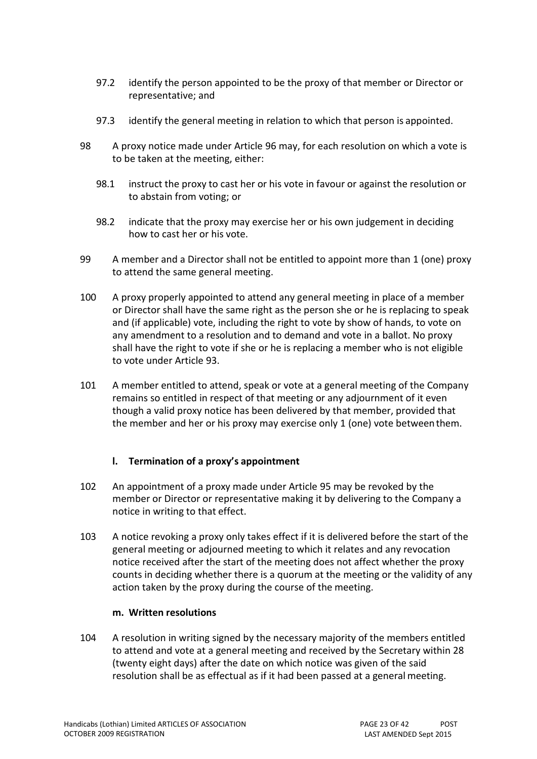- 97.2 identify the person appointed to be the proxy of that member or Director or representative; and
- 97.3 identify the general meeting in relation to which that person is appointed.
- 98 A proxy notice made under Article [96 m](#page-21-6)ay, for each resolution on which a vote is to be taken at the meeting, either:
	- 98.1 instruct the proxy to cast her or his vote in favour or against the resolution or to abstain from voting; or
	- 98.2 indicate that the proxy may exercise her or his own judgement in deciding how to cast her or his vote.
- 99 A member and a Director shall not be entitled to appoint more than 1 (one) proxy to attend the same general meeting.
- 100 A proxy properly appointed to attend any general meeting in place of a member or Director shall have the same right as the person she or he is replacing to speak and (if applicable) vote, including the right to vote by show of hands, to vote on any amendment to a resolution and to demand and vote in a ballot. No proxy shall have the right to vote if she or he is replacing a member who is not eligible to vote under Article [93.](#page-21-4)
- <span id="page-22-0"></span>101 A member entitled to attend, speak or vote at a general meeting of the Company remains so entitled in respect of that meeting or any adjournment of it even though a valid proxy notice has been delivered by that member, provided that the member and her or his proxy may exercise only 1 (one) vote betweenthem.

#### **l. Termination of a proxy's appointment**

- <span id="page-22-1"></span>102 An appointment of a proxy made under Article [95 m](#page-21-3)ay be revoked by the member or Director or representative making it by delivering to the Company a notice in writing to that effect.
- <span id="page-22-2"></span>103 A notice revoking a proxy only takes effect if it is delivered before the start of the general meeting or adjourned meeting to which it relates and any revocation notice received after the start of the meeting does not affect whether the proxy counts in deciding whether there is a quorum at the meeting or the validity of any action taken by the proxy during the course of the meeting.

#### **m. Written resolutions**

<span id="page-22-3"></span>104 A resolution in writing signed by the necessary majority of the members entitled to attend and vote at a general meeting and received by the Secretary within 28 (twenty eight days) after the date on which notice was given of the said resolution shall be as effectual as if it had been passed at a general meeting.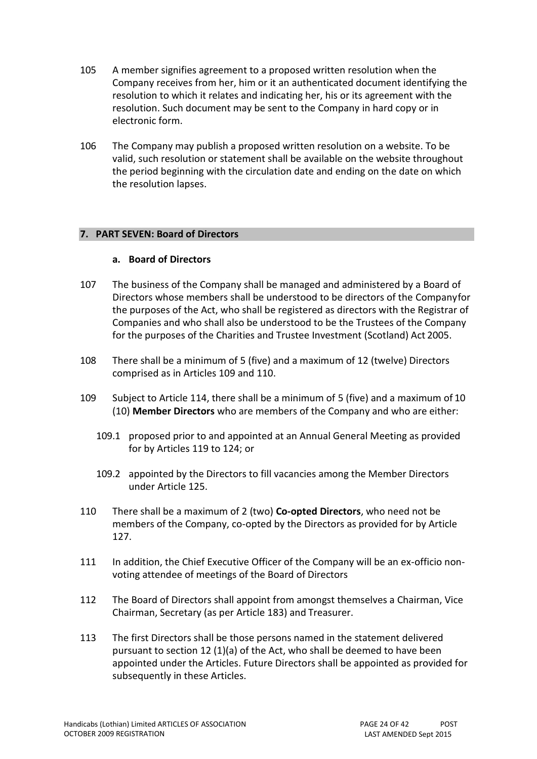- 105 A member signifies agreement to a proposed written resolution when the Company receives from her, him or it an authenticated document identifying the resolution to which it relates and indicating her, his or its agreement with the resolution. Such document may be sent to the Company in hard copy or in electronic form.
- <span id="page-23-0"></span>106 The Company may publish a proposed written resolution on a website. To be valid, such resolution or statement shall be available on the website throughout the period beginning with the circulation date and ending on the date on which the resolution lapses.

#### **7. PART SEVEN: Board of Directors**

#### **a. Board of Directors**

- <span id="page-23-1"></span>107 The business of the Company shall be managed and administered by a Board of Directors whose members shall be understood to be directors of the Companyfor the purposes of the Act, who shall be registered as directors with the Registrar of Companies and who shall also be understood to be the Trustees of the Company for the purposes of the Charities and Trustee Investment (Scotland) Act 2005.
- 108 There shall be a minimum of 5 (five) and a maximum of 12 (twelve) Directors comprised as in Arti[cles 109 a](#page-23-3)nd [110.](#page-23-4)
- <span id="page-23-3"></span>109 Subject to Article [114,](#page-24-3) there shall be a minimum of 5 (five) and a maximum of 10 (10) **Member Directors** who are members of the Company and who are either:
	- 109.1 proposed prior to and appointed at an Annual General Meeting as provided for by Articles [119 t](#page-24-2)o [124;](#page-25-1) or
	- 109.2 appointed by the Directors to fill vacancies among the Member Directors under Arti[cle 125.](#page-26-0)
- <span id="page-23-4"></span>110 There shall be a maximum of 2 (two) **Co-opted Directors**, who need not be members of the Company, co-opted by the Directors as provided for by Article [127.](#page-26-2)
- <span id="page-23-5"></span>111 In addition, the Chief Executive Officer of the Company will be an ex-officio nonvoting attendee of meetings of the Board of Directors
- 112 The Board of Directors shall appoint from amongst themselves a Chairman, Vice Chairman, Secretary (as per Article [183\)](#page-35-1) and Treasurer.
- <span id="page-23-2"></span>113 The first Directors shall be those persons named in the statement delivered pursuant to section 12 (1)(a) of the Act, who shall be deemed to have been appointed under the Articles. Future Directors shall be appointed as provided for subsequently in these Articles.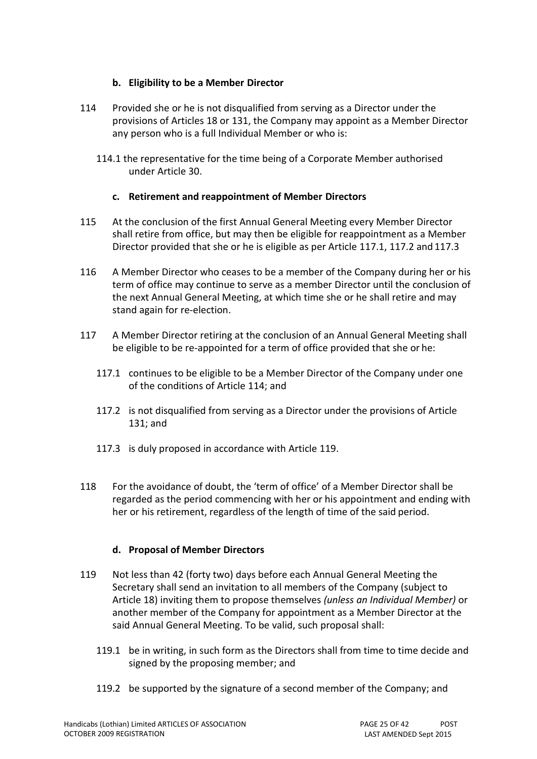## **b. Eligibility to be a Member Director**

- <span id="page-24-3"></span>114 Provided she or he is not disqualified from serving as a Director under the provisions of Articles [18 o](#page-10-5)r [131,](#page-27-1) the Company may appoint as a Member Director any person who is a full Individual Member or who is:
	- 114.1 the representative for the time being of a Corporate Member authorised under Arti[cle 30.](#page-12-2)

#### **c. Retirement and reappointment of Member Directors**

- <span id="page-24-0"></span>115 At the conclusion of the first Annual General Meeting every Member Director shall retire from office, but may then be eligible for reappointment as a Member Director provided that she or he is eligible as per Article [117.1,](#page-24-4) [117.2 a](#page-24-5)nd [117.3](#page-24-6)
- 116 A Member Director who ceases to be a member of the Company during her or his term of office may continue to serve as a member Director until the conclusion of the next Annual General Meeting, at which time she or he shall retire and may stand again for re-election.
- <span id="page-24-5"></span><span id="page-24-4"></span>117 A Member Director retiring at the conclusion of an Annual General Meeting shall be eligible to be re-appointed for a term of office provided that she or he:
	- 117.1 continues to be eligible to be a Member Director of the Company under one of the conditions of Article [114;](#page-24-3) and
	- 117.2 is not disqualified from serving as a Director under the provisions of Article [131;](#page-27-1) and
	- 117.3 is duly proposed in accordance with Article [119.](#page-24-2)
- <span id="page-24-6"></span><span id="page-24-1"></span>118 For the avoidance of doubt, the 'term of office' of a Member Director shall be regarded as the period commencing with her or his appointment and ending with her or his retirement, regardless of the length of time of the said period.

## **d. Proposal of Member Directors**

- <span id="page-24-2"></span>119 Not less than 42 (forty two) days before each Annual General Meeting the Secretary shall send an invitation to all members of the Company (subject to Article [18\)](#page-10-5) inviting them to propose themselves *(unless an Individual Member)* or another member of the Company for appointment as a Member Director at the said Annual General Meeting. To be valid, such proposal shall:
	- 119.1 be in writing, in such form as the Directors shall from time to time decide and signed by the proposing member; and
	- 119.2 be supported by the signature of a second member of the Company; and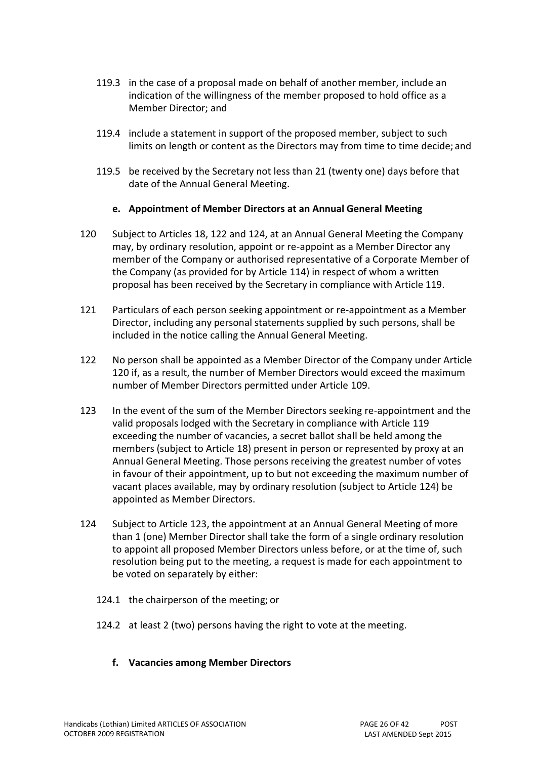- 119.3 in the case of a proposal made on behalf of another member, include an indication of the willingness of the member proposed to hold office as a Member Director; and
- 119.4 include a statement in support of the proposed member, subject to such limits on length or content as the Directors may from time to time decide; and
- 119.5 be received by the Secretary not less than 21 (twenty one) days before that date of the Annual General Meeting.

#### **e. Appointment of Member Directors at an Annual General Meeting**

- <span id="page-25-0"></span>120 Subject to Articles [18,](#page-10-5) [122 a](#page-25-3)nd [124,](#page-25-1) at an Annual General Meeting the Company may, by ordinary resolution, appoint or re-appoint as a Member Director any member of the Company or authorised representative of a Corporate Member of the Company (as provided for by Article [114\)](#page-24-3) in respect of whom a written proposal has been received by the Secretary in compliance with Article [119.](#page-24-2)
- 121 Particulars of each person seeking appointment or re-appointment as a Member Director, including any personal statements supplied by such persons, shall be included in the notice calling the Annual General Meeting.
- <span id="page-25-3"></span>122 No person shall be appointed as a Member Director of the Company under Article [120 i](#page-25-0)f, as a result, the number of Member Directors would exceed the maximum number of Member Directors permitted under Article [109.](#page-23-3)
- <span id="page-25-2"></span>123 In the event of the sum of the Member Directors seeking re-appointment and the valid proposals lodged with the Secretary in compliance with Article [119](#page-24-2) exceeding the number of vacancies, a secret ballot shall be held among the members (subject to Article [18\)](#page-10-5) present in person or represented by proxy at an Annual General Meeting. Those persons receiving the greatest number of votes in favour of their appointment, up to but not exceeding the maximum number of vacant places available, may by ordinary resolution (subject to Article [124\)](#page-25-1) be appointed as Member Directors.
- <span id="page-25-1"></span>124 Subject to Article [123,](#page-25-2) the appointment at an Annual General Meeting of more than 1 (one) Member Director shall take the form of a single ordinary resolution to appoint all proposed Member Directors unless before, or at the time of, such resolution being put to the meeting, a request is made for each appointment to be voted on separately by either:
	- 124.1 the chairperson of the meeting; or
	- 124.2 at least 2 (two) persons having the right to vote at the meeting.
		- **f. Vacancies among Member Directors**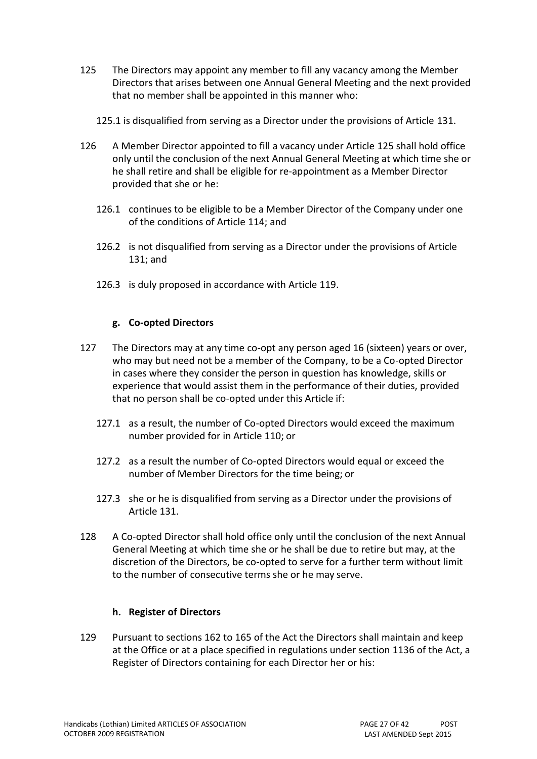- <span id="page-26-0"></span>125 The Directors may appoint any member to fill any vacancy among the Member Directors that arises between one Annual General Meeting and the next provided that no member shall be appointed in this manner who:
	- 125.1 is disqualified from serving as a Director under the provisions of Article [131.](#page-27-1)
- <span id="page-26-1"></span>126 A Member Director appointed to fill a vacancy under Article [125 s](#page-26-0)hall hold office only until the conclusion of the next Annual General Meeting at which time she or he shall retire and shall be eligible for re-appointment as a Member Director provided that she or he:
	- 126.1 continues to be eligible to be a Member Director of the Company under one of the conditions of Article [114;](#page-24-3) and
	- 126.2 is not disqualified from serving as a Director under the provisions of Article [131;](#page-27-1) and
	- 126.3 is duly proposed in accordance with Article [119.](#page-24-2)

#### **g. Co-opted Directors**

- <span id="page-26-2"></span>127 The Directors may at any time co-opt any person aged 16 (sixteen) years or over, who may but need not be a member of the Company, to be a Co-opted Director in cases where they consider the person in question has knowledge, skills or experience that would assist them in the performance of their duties, provided that no person shall be co-opted under this Article if:
	- 127.1 as a result, the number of Co-opted Directors would exceed the maximum number provided for in Article [110;](#page-23-4) or
	- 127.2 as a result the number of Co-opted Directors would equal or exceed the number of Member Directors for the time being; or
	- 127.3 she or he is disqualified from serving as a Director under the provisions of Article [131.](#page-27-1)
- <span id="page-26-3"></span>128 A Co-opted Director shall hold office only until the conclusion of the next Annual General Meeting at which time she or he shall be due to retire but may, at the discretion of the Directors, be co-opted to serve for a further term without limit to the number of consecutive terms she or he may serve.

#### **h. Register of Directors**

<span id="page-26-4"></span>129 Pursuant to sections 162 to 165 of the Act the Directors shall maintain and keep at the Office or at a place specified in regulations under section 1136 of the Act, a Register of Directors containing for each Director her or his: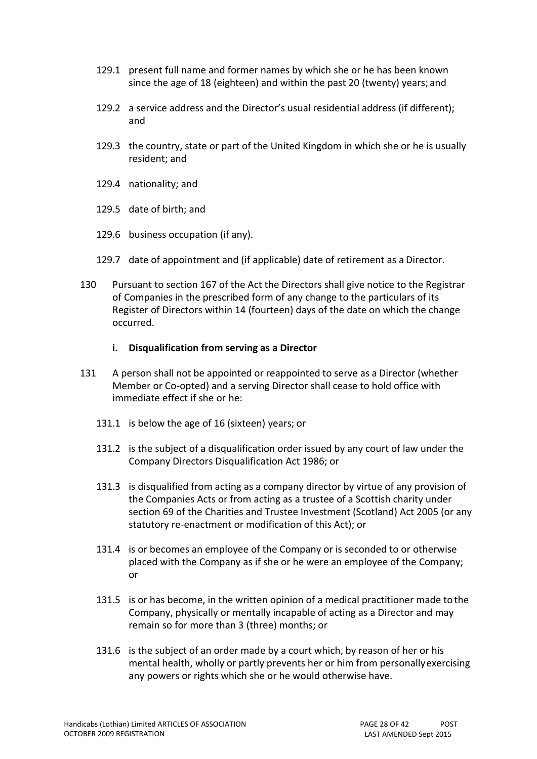- 129.1 present full name and former names by which she or he has been known since the age of 18 (eighteen) and within the past 20 (twenty) years; and
- 129.2 a service address and the Director's usual residential address (if different); and
- 129.3 the country, state or part of the United Kingdom in which she or he is usually resident; and
- 129.4 nationality; and
- 129.5 date of birth; and
- 129.6 business occupation (if any).
- 129.7 date of appointment and (if applicable) date of retirement as a Director.
- <span id="page-27-0"></span>130 Pursuant to section 167 of the Act the Directors shall give notice to the Registrar of Companies in the prescribed form of any change to the particulars of its Register of Directors within 14 (fourteen) days of the date on which the change occurred.

#### **i. Disqualification from serving as a Director**

- <span id="page-27-1"></span>131 A person shall not be appointed or reappointed to serve as a Director (whether Member or Co-opted) and a serving Director shall cease to hold office with immediate effect if she or he:
	- 131.1 is below the age of 16 (sixteen) years; or
	- 131.2 is the subject of a disqualification order issued by any court of law under the Company Directors Disqualification Act 1986; or
	- 131.3 is disqualified from acting as a company director by virtue of any provision of the Companies Acts or from acting as a trustee of a Scottish charity under section 69 of the Charities and Trustee Investment (Scotland) Act 2005 (or any statutory re-enactment or modification of this Act); or
	- 131.4 is or becomes an employee of the Company or is seconded to or otherwise placed with the Company as if she or he were an employee of the Company; or
	- 131.5 is or has become, in the written opinion of a medical practitioner made tothe Company, physically or mentally incapable of acting as a Director and may remain so for more than 3 (three) months; or
	- 131.6 is the subject of an order made by a court which, by reason of her or his mental health, wholly or partly prevents her or him from personallyexercising any powers or rights which she or he would otherwise have.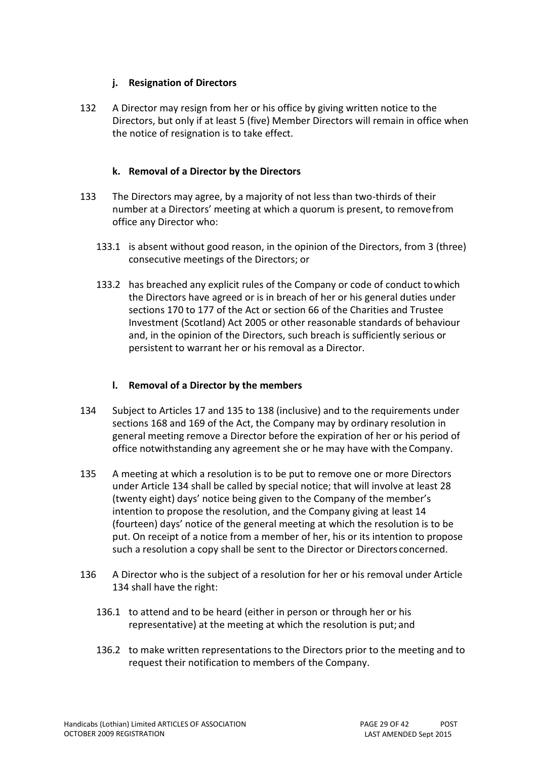## **j. Resignation of Directors**

<span id="page-28-0"></span>132 A Director may resign from her or his office by giving written notice to the Directors, but only if at least 5 (five) Member Directors will remain in office when the notice of resignation is to take effect.

#### **k. Removal of a Director by the Directors**

- <span id="page-28-1"></span>133 The Directors may agree, by a majority of not less than two-thirds of their number at a Directors' meeting at which a quorum is present, to removefrom office any Director who:
	- 133.1 is absent without good reason, in the opinion of the Directors, from 3 (three) consecutive meetings of the Directors; or
	- 133.2 has breached any explicit rules of the Company or code of conduct towhich the Directors have agreed or is in breach of her or his general duties under sections 170 to 177 of the Act or section 66 of the Charities and Trustee Investment (Scotland) Act 2005 or other reasonable standards of behaviour and, in the opinion of the Directors, such breach is sufficiently serious or persistent to warrant her or his removal as a Director.

## **l. Removal of a Director by the members**

- <span id="page-28-2"></span>134 Subject to Articles [17 a](#page-10-4)nd [135 t](#page-28-3)o [138 \(](#page-29-6)inclusive) and to the requirements under sections 168 and 169 of the Act, the Company may by ordinary resolution in general meeting remove a Director before the expiration of her or his period of office notwithstanding any agreement she or he may have with the Company.
- <span id="page-28-3"></span>135 A meeting at which a resolution is to be put to remove one or more Directors under Article [134 s](#page-28-2)hall be called by special notice; that will involve at least 28 (twenty eight) days' notice being given to the Company of the member's intention to propose the resolution, and the Company giving at least 14 (fourteen) days' notice of the general meeting at which the resolution is to be put. On receipt of a notice from a member of her, his or its intention to propose such a resolution a copy shall be sent to the Director or Directors concerned.
- <span id="page-28-4"></span>136 A Director who is the subject of a resolution for her or his removal under Article [134 s](#page-28-2)hall have the right:
	- 136.1 to attend and to be heard (either in person or through her or his representative) at the meeting at which the resolution is put; and
	- 136.2 to make written representations to the Directors prior to the meeting and to request their notification to members of the Company.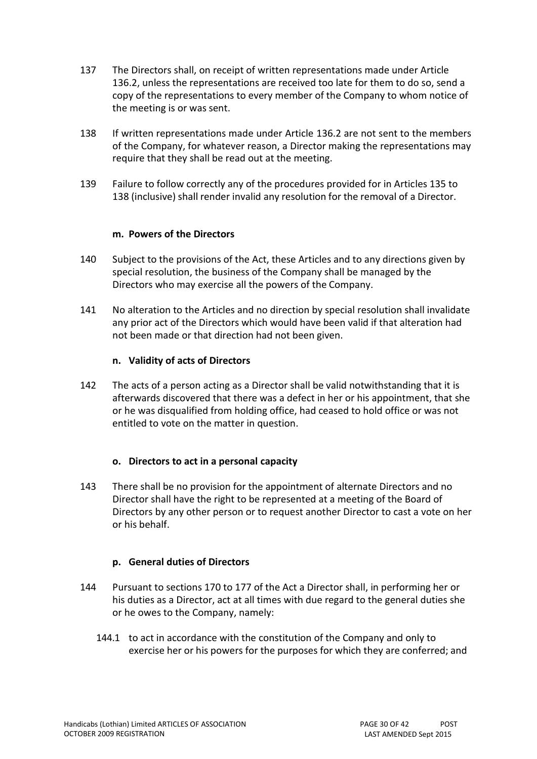- 137 The Directors shall, on receipt of written representations made under Article [136.2,](#page-28-4) unless the representations are received too late for them to do so, send a copy of the representations to every member of the Company to whom notice of the meeting is or was sent.
- <span id="page-29-6"></span>138 If written representations made under Article [136.2 a](#page-28-4)re not sent to the members of the Company, for whatever reason, a Director making the representations may require that they shall be read out at the meeting.
- <span id="page-29-0"></span>139 Failure to follow correctly any of the procedures provided for in Arti[cles 135 t](#page-28-3)[o](#page-29-6) [138](#page-29-6) (inclusive) shall render invalid any resolution for the removal of a Director.

#### **m. Powers of the Directors**

- <span id="page-29-1"></span>140 Subject to the provisions of the Act, these Articles and to any directions given by special resolution, the business of the Company shall be managed by the Directors who may exercise all the powers of the Company.
- <span id="page-29-2"></span>141 No alteration to the Articles and no direction by special resolution shall invalidate any prior act of the Directors which would have been valid if that alteration had not been made or that direction had not been given.

#### **n. Validity of acts of Directors**

<span id="page-29-3"></span>142 The acts of a person acting as a Director shall be valid notwithstanding that it is afterwards discovered that there was a defect in her or his appointment, that she or he was disqualified from holding office, had ceased to hold office or was not entitled to vote on the matter in question.

#### **o. Directors to act in a personal capacity**

<span id="page-29-4"></span>143 There shall be no provision for the appointment of alternate Directors and no Director shall have the right to be represented at a meeting of the Board of Directors by any other person or to request another Director to cast a vote on her or his behalf.

## **p. General duties of Directors**

- <span id="page-29-5"></span>144 Pursuant to sections 170 to 177 of the Act a Director shall, in performing her or his duties as a Director, act at all times with due regard to the general duties she or he owes to the Company, namely:
	- 144.1 to act in accordance with the constitution of the Company and only to exercise her or his powers for the purposes for which they are conferred; and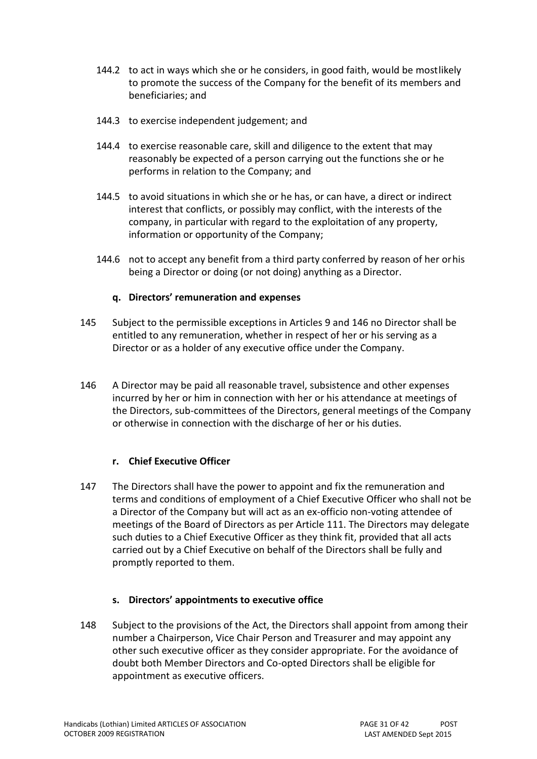- 144.2 to act in ways which she or he considers, in good faith, would be mostlikely to promote the success of the Company for the benefit of its members and beneficiaries; and
- 144.3 to exercise independent judgement; and
- 144.4 to exercise reasonable care, skill and diligence to the extent that may reasonably be expected of a person carrying out the functions she or he performs in relation to the Company; and
- 144.5 to avoid situations in which she or he has, or can have, a direct or indirect interest that conflicts, or possibly may conflict, with the interests of the company, in particular with regard to the exploitation of any property, information or opportunity of the Company;
- 144.6 not to accept any benefit from a third party conferred by reason of her orhis being a Director or doing (or not doing) anything as a Director.

#### **q. Directors' remuneration and expenses**

- <span id="page-30-0"></span>145 Subject to the permissible exceptions in Articles [9 a](#page-8-1)nd [146 n](#page-30-1)o Director shall be entitled to any remuneration, whether in respect of her or his serving as a Director or as a holder of any executive office under the Company.
- <span id="page-30-1"></span>146 A Director may be paid all reasonable travel, subsistence and other expenses incurred by her or him in connection with her or his attendance at meetings of the Directors, sub-committees of the Directors, general meetings of the Company or otherwise in connection with the discharge of her or his duties.

## **r. Chief Executive Officer**

<span id="page-30-2"></span>147 The Directors shall have the power to appoint and fix the remuneration and terms and conditions of employment of a Chief Executive Officer who shall not be a Director of the Company but will act as an ex-officio non-voting attendee of meetings of the Board of Directors as per Article [111.](#page-23-5) The Directors may delegate such duties to a Chief Executive Officer as they think fit, provided that all acts carried out by a Chief Executive on behalf of the Directors shall be fully and promptly reported to them.

## **s. Directors' appointments to executive office**

<span id="page-30-3"></span>148 Subject to the provisions of the Act, the Directors shall appoint from among their number a Chairperson, Vice Chair Person and Treasurer and may appoint any other such executive officer as they consider appropriate. For the avoidance of doubt both Member Directors and Co-opted Directors shall be eligible for appointment as executive officers.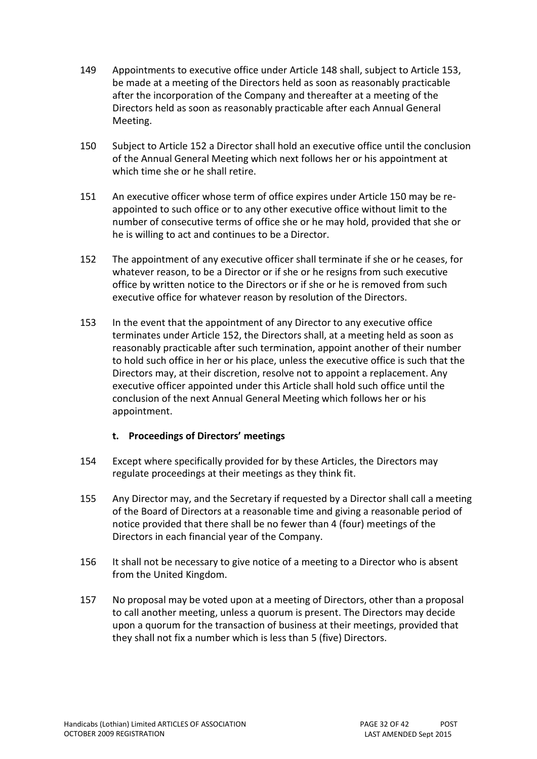- 149 Appointments to executive office under Article [148 s](#page-30-3)hall, subject to Article [153,](#page-31-0) be made at a meeting of the Directors held as soon as reasonably practicable after the incorporation of the Company and thereafter at a meeting of the Directors held as soon as reasonably practicable after each Annual General Meeting.
- <span id="page-31-3"></span>150 Subject to Article [152 a](#page-31-2) Director shall hold an executive office until the conclusion of the Annual General Meeting which next follows her or his appointment at which time she or he shall retire.
- 151 An executive officer whose term of office expires under Article [150 m](#page-31-3)ay be reappointed to such office or to any other executive office without limit to the number of consecutive terms of office she or he may hold, provided that she or he is willing to act and continues to be a Director.
- <span id="page-31-2"></span>152 The appointment of any executive officer shall terminate if she or he ceases, for whatever reason, to be a Director or if she or he resigns from such executive office by written notice to the Directors or if she or he is removed from such executive office for whatever reason by resolution of the Directors.
- <span id="page-31-0"></span>153 In the event that the appointment of any Director to any executive office terminates under Article [152,](#page-31-2) the Directors shall, at a meeting held as soon as reasonably practicable after such termination, appoint another of their number to hold such office in her or his place, unless the executive office is such that the Directors may, at their discretion, resolve not to appoint a replacement. Any executive officer appointed under this Article shall hold such office until the conclusion of the next Annual General Meeting which follows her or his appointment.

## **t. Proceedings of Directors' meetings**

- <span id="page-31-1"></span>154 Except where specifically provided for by these Articles, the Directors may regulate proceedings at their meetings as they think fit.
- 155 Any Director may, and the Secretary if requested by a Director shall call a meeting of the Board of Directors at a reasonable time and giving a reasonable period of notice provided that there shall be no fewer than 4 (four) meetings of the Directors in each financial year of the Company.
- 156 It shall not be necessary to give notice of a meeting to a Director who is absent from the United Kingdom.
- 157 No proposal may be voted upon at a meeting of Directors, other than a proposal to call another meeting, unless a quorum is present. The Directors may decide upon a quorum for the transaction of business at their meetings, provided that they shall not fix a number which is less than 5 (five) Directors.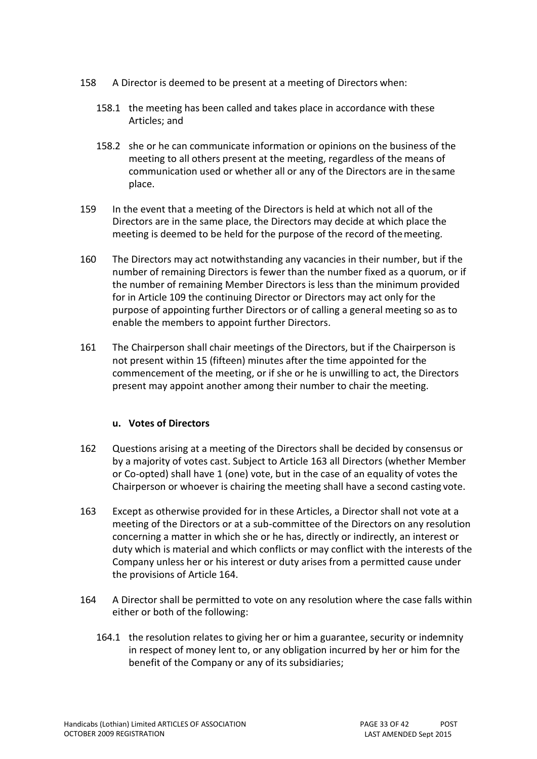- 158 A Director is deemed to be present at a meeting of Directors when:
	- 158.1 the meeting has been called and takes place in accordance with these Articles; and
	- 158.2 she or he can communicate information or opinions on the business of the meeting to all others present at the meeting, regardless of the means of communication used or whether all or any of the Directors are in thesame place.
- 159 In the event that a meeting of the Directors is held at which not all of the Directors are in the same place, the Directors may decide at which place the meeting is deemed to be held for the purpose of the record of themeeting.
- 160 The Directors may act notwithstanding any vacancies in their number, but if the number of remaining Directors is fewer than the number fixed as a quorum, or if the number of remaining Member Directors is less than the minimum provided for in Arti[cle 109 t](#page-23-3)he continuing Director or Directors may act only for the purpose of appointing further Directors or of calling a general meeting so as to enable the members to appoint further Directors.
- <span id="page-32-0"></span>161 The Chairperson shall chair meetings of the Directors, but if the Chairperson is not present within 15 (fifteen) minutes after the time appointed for the commencement of the meeting, or if she or he is unwilling to act, the Directors present may appoint another among their number to chair the meeting.

## **u. Votes of Directors**

- <span id="page-32-1"></span>162 Questions arising at a meeting of the Directors shall be decided by consensus or by a majority of votes cast. Subject to Article [163 a](#page-32-2)ll Directors (whether Member or Co-opted) shall have 1 (one) vote, but in the case of an equality of votes the Chairperson or whoever is chairing the meeting shall have a second casting vote.
- <span id="page-32-2"></span>163 Except as otherwise provided for in these Articles, a Director shall not vote at a meeting of the Directors or at a sub-committee of the Directors on any resolution concerning a matter in which she or he has, directly or indirectly, an interest or duty which is material and which conflicts or may conflict with the interests of the Company unless her or his interest or duty arises from a permitted cause under the provisions of Article [164.](#page-32-3)
- <span id="page-32-3"></span>164 A Director shall be permitted to vote on any resolution where the case falls within either or both of the following:
	- 164.1 the resolution relates to giving her or him a guarantee, security or indemnity in respect of money lent to, or any obligation incurred by her or him for the benefit of the Company or any of its subsidiaries;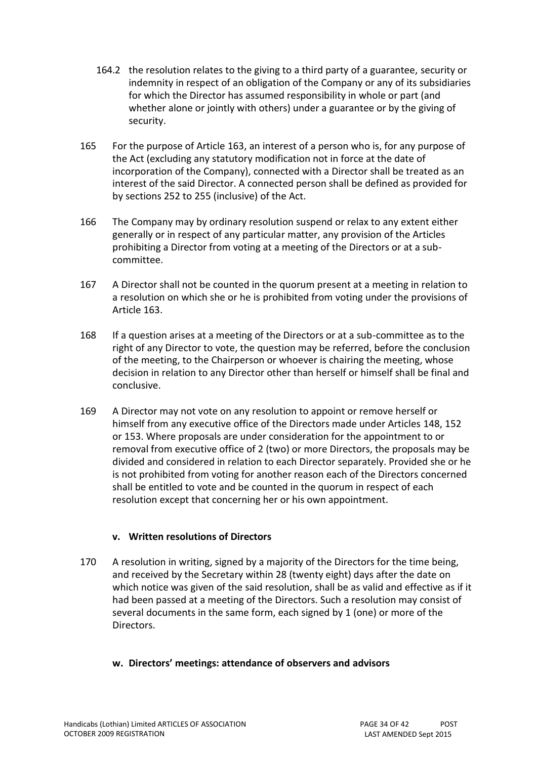- 164.2 the resolution relates to the giving to a third party of a guarantee, security or indemnity in respect of an obligation of the Company or any of its subsidiaries for which the Director has assumed responsibility in whole or part (and whether alone or jointly with others) under a guarantee or by the giving of security.
- 165 For the purpose of Article [163,](#page-32-2) an interest of a person who is, for any purpose of the Act (excluding any statutory modification not in force at the date of incorporation of the Company), connected with a Director shall be treated as an interest of the said Director. A connected person shall be defined as provided for by sections 252 to 255 (inclusive) of the Act.
- 166 The Company may by ordinary resolution suspend or relax to any extent either generally or in respect of any particular matter, any provision of the Articles prohibiting a Director from voting at a meeting of the Directors or at a subcommittee.
- 167 A Director shall not be counted in the quorum present at a meeting in relation to a resolution on which she or he is prohibited from voting under the provisions of Article [163.](#page-32-2)
- 168 If a question arises at a meeting of the Directors or at a sub-committee as to the right of any Director to vote, the question may be referred, before the conclusion of the meeting, to the Chairperson or whoever is chairing the meeting, whose decision in relation to any Director other than herself or himself shall be final and conclusive.
- <span id="page-33-0"></span>169 A Director may not vote on any resolution to appoint or remove herself or himself from any executive office of the Directors made under Articles [148,](#page-30-3) [152](#page-31-2) or [153.](#page-31-0) Where proposals are under consideration for the appointment to or removal from executive office of 2 (two) or more Directors, the proposals may be divided and considered in relation to each Director separately. Provided she or he is not prohibited from voting for another reason each of the Directors concerned shall be entitled to vote and be counted in the quorum in respect of each resolution except that concerning her or his own appointment.

## **v. Written resolutions of Directors**

<span id="page-33-1"></span>170 A resolution in writing, signed by a majority of the Directors for the time being, and received by the Secretary within 28 (twenty eight) days after the date on which notice was given of the said resolution, shall be as valid and effective as if it had been passed at a meeting of the Directors. Such a resolution may consist of several documents in the same form, each signed by 1 (one) or more of the Directors.

#### **w. Directors' meetings: attendance of observers and advisors**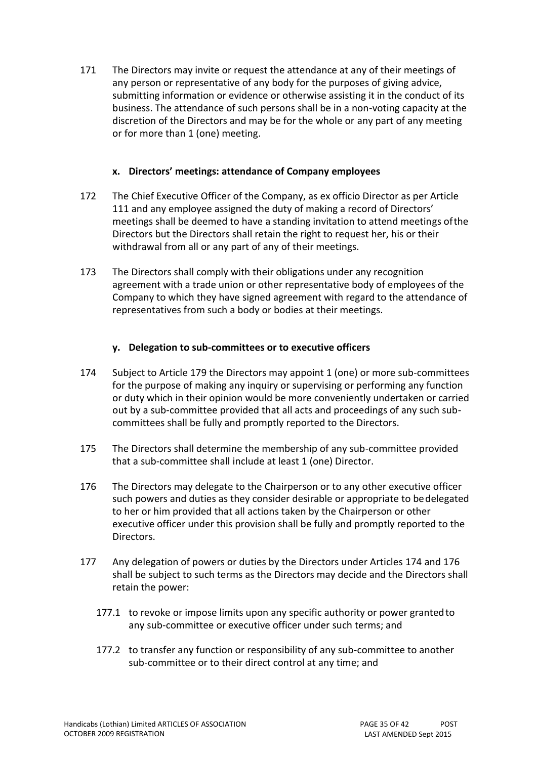<span id="page-34-0"></span>171 The Directors may invite or request the attendance at any of their meetings of any person or representative of any body for the purposes of giving advice, submitting information or evidence or otherwise assisting it in the conduct of its business. The attendance of such persons shall be in a non-voting capacity at the discretion of the Directors and may be for the whole or any part of any meeting or for more than 1 (one) meeting.

#### **x. Directors' meetings: attendance of Company employees**

- <span id="page-34-1"></span>172 The Chief Executive Officer of the Company, as ex officio Director as per Article [111](#page-23-5) and any employee assigned the duty of making a record of Directors' meetings shall be deemed to have a standing invitation to attend meetings ofthe Directors but the Directors shall retain the right to request her, his or their withdrawal from all or any part of any of their meetings.
- <span id="page-34-2"></span>173 The Directors shall comply with their obligations under any recognition agreement with a trade union or other representative body of employees of the Company to which they have signed agreement with regard to the attendance of representatives from such a body or bodies at their meetings.

#### **y. Delegation to sub-committees or to executive officers**

- <span id="page-34-3"></span>174 Subject to Article [179 t](#page-35-2)he Directors may appoint 1 (one) or more sub-committees for the purpose of making any inquiry or supervising or performing any function or duty which in their opinion would be more conveniently undertaken or carried out by a sub-committee provided that all acts and proceedings of any such subcommittees shall be fully and promptly reported to the Directors.
- 175 The Directors shall determine the membership of any sub-committee provided that a sub-committee shall include at least 1 (one) Director.
- <span id="page-34-4"></span>176 The Directors may delegate to the Chairperson or to any other executive officer such powers and duties as they consider desirable or appropriate to bedelegated to her or him provided that all actions taken by the Chairperson or other executive officer under this provision shall be fully and promptly reported to the Directors.
- <span id="page-34-5"></span>177 Any delegation of powers or duties by the Directors under Articles [174 a](#page-34-3)nd [176](#page-34-4) shall be subject to such terms as the Directors may decide and the Directors shall retain the power:
	- 177.1 to revoke or impose limits upon any specific authority or power grantedto any sub-committee or executive officer under such terms; and
	- 177.2 to transfer any function or responsibility of any sub-committee to another sub-committee or to their direct control at any time; and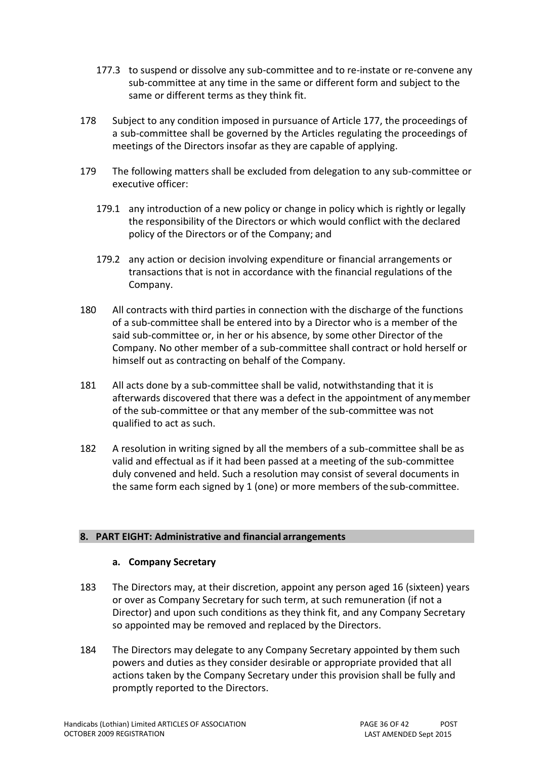- 177.3 to suspend or dissolve any sub-committee and to re-instate or re-convene any sub-committee at any time in the same or different form and subject to the same or different terms as they think fit.
- 178 Subject to any condition imposed in pursuance of Arti[cle 177,](#page-34-5) the proceedings of a sub-committee shall be governed by the Articles regulating the proceedings of meetings of the Directors insofar as they are capable of applying.
- <span id="page-35-2"></span>179 The following matters shall be excluded from delegation to any sub-committee or executive officer:
	- 179.1 any introduction of a new policy or change in policy which is rightly or legally the responsibility of the Directors or which would conflict with the declared policy of the Directors or of the Company; and
	- 179.2 any action or decision involving expenditure or financial arrangements or transactions that is not in accordance with the financial regulations of the Company.
- 180 All contracts with third parties in connection with the discharge of the functions of a sub-committee shall be entered into by a Director who is a member of the said sub-committee or, in her or his absence, by some other Director of the Company. No other member of a sub-committee shall contract or hold herself or himself out as contracting on behalf of the Company.
- 181 All acts done by a sub-committee shall be valid, notwithstanding that it is afterwards discovered that there was a defect in the appointment of anymember of the sub-committee or that any member of the sub-committee was not qualified to act as such.
- <span id="page-35-0"></span>182 A resolution in writing signed by all the members of a sub-committee shall be as valid and effectual as if it had been passed at a meeting of the sub-committee duly convened and held. Such a resolution may consist of several documents in the same form each signed by 1 (one) or more members of the sub-committee.

#### **8. PART EIGHT: Administrative and financial arrangements**

#### **a. Company Secretary**

- <span id="page-35-1"></span>183 The Directors may, at their discretion, appoint any person aged 16 (sixteen) years or over as Company Secretary for such term, at such remuneration (if not a Director) and upon such conditions as they think fit, and any Company Secretary so appointed may be removed and replaced by the Directors.
- 184 The Directors may delegate to any Company Secretary appointed by them such powers and duties as they consider desirable or appropriate provided that all actions taken by the Company Secretary under this provision shall be fully and promptly reported to the Directors.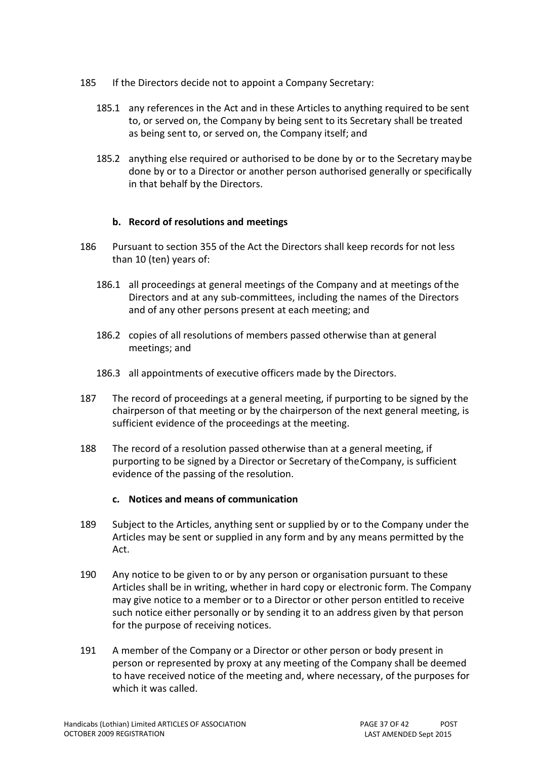- <span id="page-36-0"></span>185 If the Directors decide not to appoint a Company Secretary:
	- 185.1 any references in the Act and in these Articles to anything required to be sent to, or served on, the Company by being sent to its Secretary shall be treated as being sent to, or served on, the Company itself; and
	- 185.2 anything else required or authorised to be done by or to the Secretary maybe done by or to a Director or another person authorised generally or specifically in that behalf by the Directors.

#### **b. Record of resolutions and meetings**

- <span id="page-36-1"></span>186 Pursuant to section 355 of the Act the Directors shall keep records for not less than 10 (ten) years of:
	- 186.1 all proceedings at general meetings of the Company and at meetings ofthe Directors and at any sub-committees, including the names of the Directors and of any other persons present at each meeting; and
	- 186.2 copies of all resolutions of members passed otherwise than at general meetings; and
	- 186.3 all appointments of executive officers made by the Directors.
- 187 The record of proceedings at a general meeting, if purporting to be signed by the chairperson of that meeting or by the chairperson of the next general meeting, is sufficient evidence of the proceedings at the meeting.
- <span id="page-36-2"></span>188 The record of a resolution passed otherwise than at a general meeting, if purporting to be signed by a Director or Secretary of theCompany, is sufficient evidence of the passing of the resolution.

#### **c. Notices and means of communication**

- <span id="page-36-3"></span>189 Subject to the Articles, anything sent or supplied by or to the Company under the Articles may be sent or supplied in any form and by any means permitted by the Act.
- 190 Any notice to be given to or by any person or organisation pursuant to these Articles shall be in writing, whether in hard copy or electronic form. The Company may give notice to a member or to a Director or other person entitled to receive such notice either personally or by sending it to an address given by that person for the purpose of receiving notices.
- <span id="page-36-4"></span>191 A member of the Company or a Director or other person or body present in person or represented by proxy at any meeting of the Company shall be deemed to have received notice of the meeting and, where necessary, of the purposes for which it was called.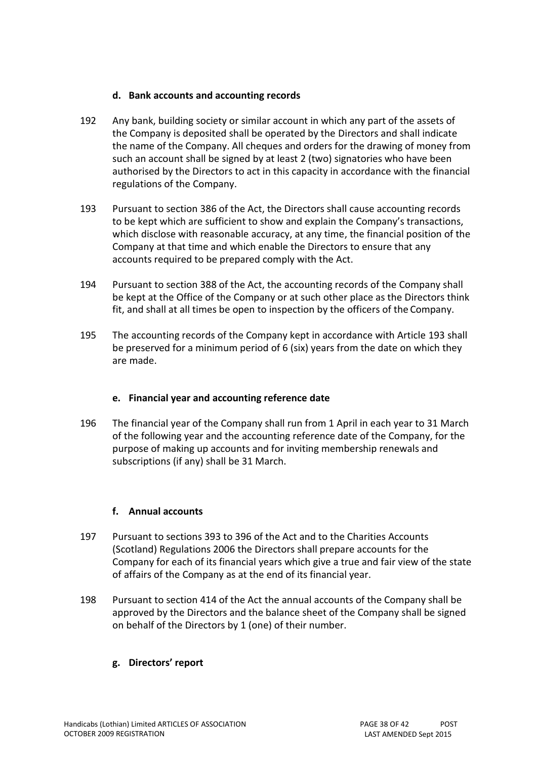#### **d. Bank accounts and accounting records**

- <span id="page-37-0"></span>192 Any bank, building society or similar account in which any part of the assets of the Company is deposited shall be operated by the Directors and shall indicate the name of the Company. All cheques and orders for the drawing of money from such an account shall be signed by at least 2 (two) signatories who have been authorised by the Directors to act in this capacity in accordance with the financial regulations of the Company.
- <span id="page-37-5"></span>193 Pursuant to section 386 of the Act, the Directors shall cause accounting records to be kept which are sufficient to show and explain the Company's transactions, which disclose with reasonable accuracy, at any time, the financial position of the Company at that time and which enable the Directors to ensure that any accounts required to be prepared comply with the Act.
- 194 Pursuant to section 388 of the Act, the accounting records of the Company shall be kept at the Office of the Company or at such other place as the Directors think fit, and shall at all times be open to inspection by the officers of the Company.
- <span id="page-37-1"></span>195 The accounting records of the Company kept in accordance with Article [193 s](#page-37-5)hall be preserved for a minimum period of 6 (six) years from the date on which they are made.

## **e. Financial year and accounting reference date**

<span id="page-37-2"></span>196 The financial year of the Company shall run from 1 April in each year to 31 March of the following year and the accounting reference date of the Company, for the purpose of making up accounts and for inviting membership renewals and subscriptions (if any) shall be 31 March.

## **f. Annual accounts**

- <span id="page-37-3"></span>197 Pursuant to sections 393 to 396 of the Act and to the Charities Accounts (Scotland) Regulations 2006 the Directors shall prepare accounts for the Company for each of its financial years which give a true and fair view of the state of affairs of the Company as at the end of its financial year.
- <span id="page-37-4"></span>198 Pursuant to section 414 of the Act the annual accounts of the Company shall be approved by the Directors and the balance sheet of the Company shall be signed on behalf of the Directors by 1 (one) of their number.

## **g. Directors' report**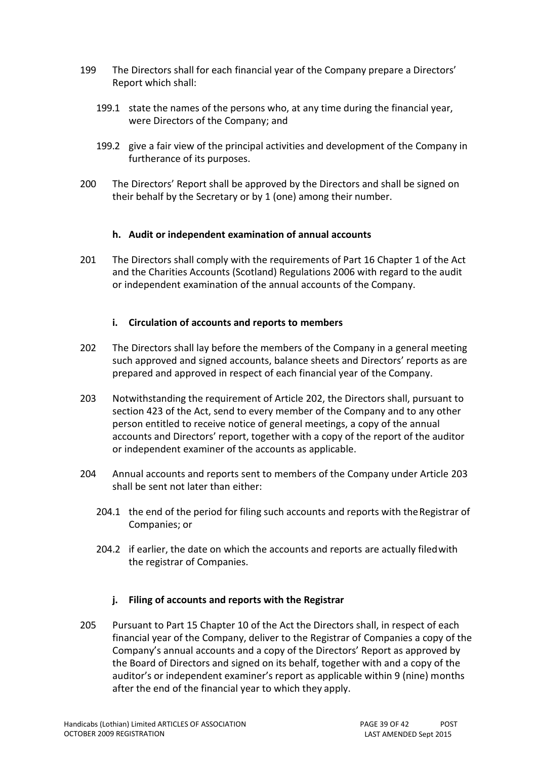- <span id="page-38-0"></span>199 The Directors shall for each financial year of the Company prepare a Directors' Report which shall:
	- 199.1 state the names of the persons who, at any time during the financial year, were Directors of the Company; and
	- 199.2 give a fair view of the principal activities and development of the Company in furtherance of its purposes.
- <span id="page-38-1"></span>200 The Directors' Report shall be approved by the Directors and shall be signed on their behalf by the Secretary or by 1 (one) among their number.

#### **h. Audit or independent examination of annual accounts**

<span id="page-38-2"></span>201 The Directors shall comply with the requirements of Part 16 Chapter 1 of the Act and the Charities Accounts (Scotland) Regulations 2006 with regard to the audit or independent examination of the annual accounts of the Company.

#### **i. Circulation of accounts and reports to members**

- <span id="page-38-3"></span>202 The Directors shall lay before the members of the Company in a general meeting such approved and signed accounts, balance sheets and Directors' reports as are prepared and approved in respect of each financial year of the Company.
- <span id="page-38-6"></span>203 Notwithstanding the requirement of Article [202,](#page-38-3) the Directors shall, pursuant to section 423 of the Act, send to every member of the Company and to any other person entitled to receive notice of general meetings, a copy of the annual accounts and Directors' report, together with a copy of the report of the auditor or independent examiner of the accounts as applicable.
- <span id="page-38-4"></span>204 Annual accounts and reports sent to members of the Company under Article [203](#page-38-6) shall be sent not later than either:
	- 204.1 the end of the period for filing such accounts and reports with theRegistrar of Companies; or
	- 204.2 if earlier, the date on which the accounts and reports are actually filedwith the registrar of Companies.

## **j. Filing of accounts and reports with the Registrar**

<span id="page-38-5"></span>205 Pursuant to Part 15 Chapter 10 of the Act the Directors shall, in respect of each financial year of the Company, deliver to the Registrar of Companies a copy of the Company's annual accounts and a copy of the Directors' Report as approved by the Board of Directors and signed on its behalf, together with and a copy of the auditor's or independent examiner's report as applicable within 9 (nine) months after the end of the financial year to which they apply.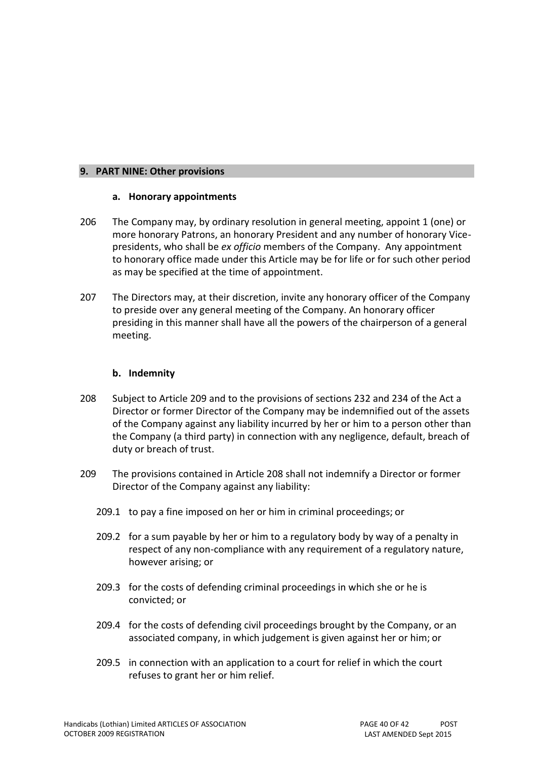#### **9. PART NINE: Other provisions**

#### **a. Honorary appointments**

- <span id="page-39-0"></span>206 The Company may, by ordinary resolution in general meeting, appoint 1 (one) or more honorary Patrons, an honorary President and any number of honorary Vicepresidents, who shall be *ex officio* members of the Company. Any appointment to honorary office made under this Article may be for life or for such other period as may be specified at the time of appointment.
- <span id="page-39-1"></span>207 The Directors may, at their discretion, invite any honorary officer of the Company to preside over any general meeting of the Company. An honorary officer presiding in this manner shall have all the powers of the chairperson of a general meeting.

#### **b. Indemnity**

- <span id="page-39-2"></span>208 Subject to Article [209 a](#page-39-3)nd to the provisions of sections 232 and 234 of the Act a Director or former Director of the Company may be indemnified out of the assets of the Company against any liability incurred by her or him to a person other than the Company (a third party) in connection with any negligence, default, breach of duty or breach of trust.
- <span id="page-39-3"></span>209 The provisions contained in Article [208 s](#page-39-2)hall not indemnify a Director or former Director of the Company against any liability:
	- 209.1 to pay a fine imposed on her or him in criminal proceedings; or
	- 209.2 for a sum payable by her or him to a regulatory body by way of a penalty in respect of any non-compliance with any requirement of a regulatory nature, however arising; or
	- 209.3 for the costs of defending criminal proceedings in which she or he is convicted; or
	- 209.4 for the costs of defending civil proceedings brought by the Company, or an associated company, in which judgement is given against her or him; or
	- 209.5 in connection with an application to a court for relief in which the court refuses to grant her or him relief.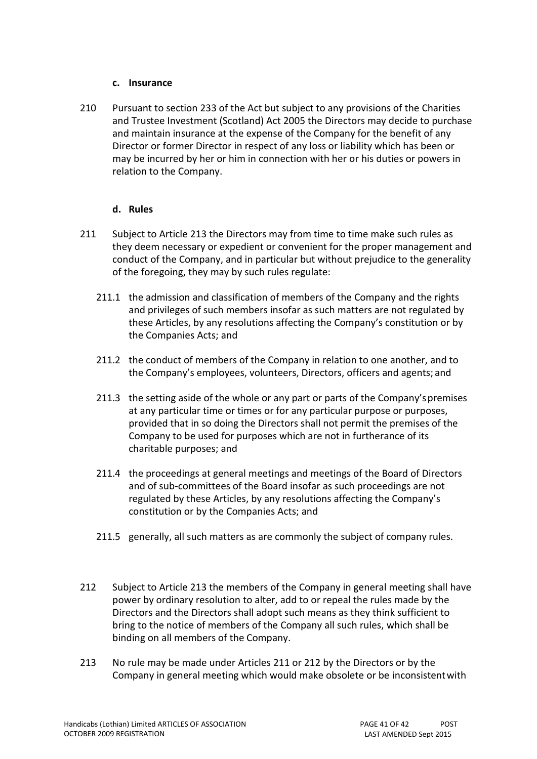#### **c. Insurance**

<span id="page-40-0"></span>210 Pursuant to section 233 of the Act but subject to any provisions of the Charities and Trustee Investment (Scotland) Act 2005 the Directors may decide to purchase and maintain insurance at the expense of the Company for the benefit of any Director or former Director in respect of any loss or liability which has been or may be incurred by her or him in connection with her or his duties or powers in relation to the Company.

## **d. Rules**

- <span id="page-40-1"></span>211 Subject to Article [213 t](#page-40-2)he Directors may from time to time make such rules as they deem necessary or expedient or convenient for the proper management and conduct of the Company, and in particular but without prejudice to the generality of the foregoing, they may by such rules regulate:
	- 211.1 the admission and classification of members of the Company and the rights and privileges of such members insofar as such matters are not regulated by these Articles, by any resolutions affecting the Company's constitution or by the Companies Acts; and
	- 211.2 the conduct of members of the Company in relation to one another, and to the Company's employees, volunteers, Directors, officers and agents; and
	- 211.3 the setting aside of the whole or any part or parts of the Company'spremises at any particular time or times or for any particular purpose or purposes, provided that in so doing the Directors shall not permit the premises of the Company to be used for purposes which are not in furtherance of its charitable purposes; and
	- 211.4 the proceedings at general meetings and meetings of the Board of Directors and of sub-committees of the Board insofar as such proceedings are not regulated by these Articles, by any resolutions affecting the Company's constitution or by the Companies Acts; and
	- 211.5 generally, all such matters as are commonly the subject of company rules.
- <span id="page-40-3"></span>212 Subject to Article [213 t](#page-40-2)he members of the Company in general meeting shall have power by ordinary resolution to alter, add to or repeal the rules made by the Directors and the Directors shall adopt such means as they think sufficient to bring to the notice of members of the Company all such rules, which shall be binding on all members of the Company.
- <span id="page-40-2"></span>213 No rule may be made under Articles [211 o](#page-40-1)r [212 b](#page-40-3)y the Directors or by the Company in general meeting which would make obsolete or be inconsistentwith